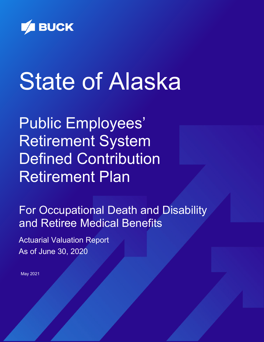

# **State of Alaska**

Public Employees' Retirement System Defined Contribution Retirement Plan

For Occupational Death and Disability and Retiree Medical Benefits

Actuarial Valuation Report As of June 30, 2020

May 2021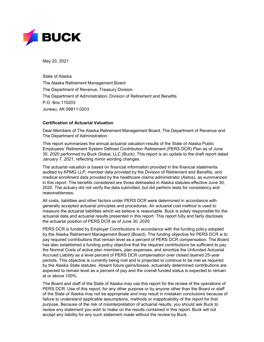

May 20, 2021

State of Alaska The Alaska Retirement Management Board The Department of Revenue, Treasury Division The Department of Administration, Division of Retirement and Benefits P.O. Box 110203 Juneau, AK 99811-0203

#### **Certification of Actuarial Valuation**

Dear Members of The Alaska Retirement Management Board, The Department of Revenue and The Department of Administration:

This report summarizes the annual actuarial valuation results of the State of Alaska Public Employees' Retirement System Defined Contribution Retirement (PERS DCR) Plan as of June 30, 2020 performed by Buck Global, LLC (Buck). This report is an update to the draft report dated January 7, 2021, reflecting minor wording changes.

The actuarial valuation is based on financial information provided in the financial statements audited by KPMG LLP, member data provided by the Division of Retirement and Benefits, and medical enrollment data provided by the healthcare claims administrator (Aetna), as summarized in this report. The benefits considered are those delineated in Alaska statutes effective June 30, 2020. The actuary did not verify the data submitted, but did perform tests for consistency and reasonableness.

All costs, liabilities and other factors under PERS DCR were determined in accordance with generally accepted actuarial principles and procedures. An actuarial cost method is used to measure the actuarial liabilities which we believe is reasonable. Buck is solely responsible for the actuarial data and actuarial results presented in this report. This report fully and fairly discloses the actuarial position of PERS DCR as of June 30, 2020.

PERS DCR is funded by Employer Contributions in accordance with the funding policy adopted by the Alaska Retirement Management Board (Board). The funding objective for PERS DCR is to pay required contributions that remain level as a percent of PERS DCR compensation. The Board has also established a funding policy objective that the required contributions be sufficient to pay the Normal Costs of active plan members, plan expenses, and amortize the Unfunded Actuarial Accrued Liability as a level percent of PERS DCR compensation over closed layered 25-year periods. This objective is currently being met and is projected to continue to be met as required by the Alaska State statutes. Absent future gains/losses, actuarially determined contributions are expected to remain level as a percent of pay and the overall funded status is expected to remain at or above 100%.

The Board and staff of the State of Alaska may use this report for the review of the operations of PERS DCR. Use of this report, for any other purpose or by anyone other than the Board or staff of the State of Alaska may not be appropriate and may result in mistaken conclusions because of failure to understand applicable assumptions, methods or inapplicability of the report for that purpose. Because of the risk of misinterpretation of actuarial results, you should ask Buck to review any statement you wish to make on the results contained in this report. Buck will not accept any liability for any such statement made without the review by Buck.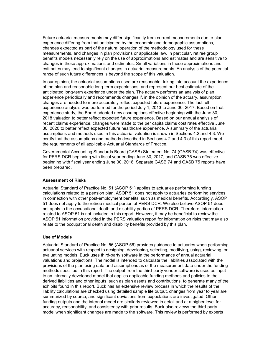Future actuarial measurements may differ significantly from current measurements due to plan experience differing from that anticipated by the economic and demographic assumptions, changes expected as part of the natural operation of the methodology used for these measurements, and changes in plan provisions or applicable law. In particular, retiree group benefits models necessarily rely on the use of approximations and estimates and are sensitive to changes in these approximations and estimates. Small variations in these approximations and estimates may lead to significant changes in actuarial measurements. An analysis of the potential range of such future differences is beyond the scope of this valuation.

In our opinion, the actuarial assumptions used are reasonable, taking into account the experience of the plan and reasonable long-term expectations, and represent our best estimate of the anticipated long-term experience under the plan. The actuary performs an analysis of plan experience periodically and recommends changes if, in the opinion of the actuary, assumption changes are needed to more accurately reflect expected future experience. The last full experience analysis was performed for the period July 1, 2013 to June 30, 2017. Based on that experience study, the Board adopted new assumptions effective beginning with the June 30, 2018 valuation to better reflect expected future experience. Based on our annual analysis of recent claims experience, changes were made to the per capita claims cost rates effective June 30, 2020 to better reflect expected future healthcare experience. A summary of the actuarial assumptions and methods used in this actuarial valuation is shown in Sections 4.2 and 4.3. We certify that the assumptions and methods described in Sections 4.2 and 4.3 of this report meet the requirements of all applicable Actuarial Standards of Practice.

Governmental Accounting Standards Board (GASB) Statement No. 74 (GASB 74) was effective for PERS DCR beginning with fiscal year ending June 30, 2017, and GASB 75 was effective beginning with fiscal year ending June 30, 2018. Separate GASB 74 and GASB 75 reports have been prepared.

#### **Assessment of Risks**

Actuarial Standard of Practice No. 51 (ASOP 51) applies to actuaries performing funding calculations related to a pension plan. ASOP 51 does not apply to actuaries performing services in connection with other post-employment benefits, such as medical benefits. Accordingly, ASOP 51 does not apply to the retiree medical portion of PERS DCR. We also believe ASOP 51 does not apply to the occupational death and disability portion of PERS DCR. Therefore, information related to ASOP 51 is not included in this report. However, it may be beneficial to review the ASOP 51 information provided in the PERS valuation report for information on risks that may also relate to the occupational death and disability benefits provided by this plan.

#### **Use of Models**

Actuarial Standard of Practice No. 56 (ASOP 56) provides guidance to actuaries when performing actuarial services with respect to designing, developing, selecting, modifying, using, reviewing, or evaluating models. Buck uses third-party software in the performance of annual actuarial valuations and projections. The model is intended to calculate the liabilities associated with the provisions of the plan using data and assumptions as of the measurement date under the funding methods specified in this report. The output from the third-party vendor software is used as input to an internally developed model that applies applicable funding methods and policies to the derived liabilities and other inputs, such as plan assets and contributions, to generate many of the exhibits found in this report. Buck has an extensive review process in which the results of the liability calculations are checked using detailed sample life output, changes from year to year are summarized by source, and significant deviations from expectations are investigated. Other funding outputs and the internal model are similarly reviewed in detail and at a higher level for accuracy, reasonability, and consistency with prior results. Buck also reviews the third-party model when significant changes are made to the software. This review is performed by experts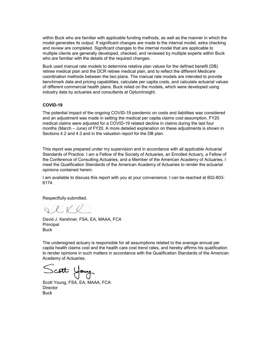within Buck who are familiar with applicable funding methods, as well as the manner in which the model generates its output. If significant changes are made to the internal model, extra checking and review are completed. Significant changes to the internal model that are applicable to multiple clients are generally developed, checked, and reviewed by multiple experts within Buck who are familiar with the details of the required changes.

Buck used manual rate models to determine relative plan values for the defined benefit (DB) retiree medical plan and the DCR retiree medical plan, and to reflect the different Medicare coordination methods between the two plans. The manual rate models are intended to provide benchmark data and pricing capabilities, calculate per capita costs, and calculate actuarial values of different commercial health plans. Buck relied on the models, which were developed using industry data by actuaries and consultants at OptumInsight.

#### **COVID-19**

The potential impact of the ongoing COVID-19 pandemic on costs and liabilities was considered and an adjustment was made in setting the medical per capita claims cost assumption. FY20 medical claims were adjusted for a COVID-19 related decline in claims during the last four months (March – June) of FY20. A more detailed explanation on these adjustments is shown in Sections 4.2 and 4.3 and in the valuation report for the DB plan.

This report was prepared under my supervision and in accordance with all applicable Actuarial Standards of Practice. I am a Fellow of the Society of Actuaries, an Enrolled Actuary, a Fellow of the Conference of Consulting Actuaries, and a Member of the American Academy of Actuaries. I meet the Qualification Standards of the American Academy of Actuaries to render the actuarial opinions contained herein.

I am available to discuss this report with you at your convenience. I can be reached at 602-803- 6174.

Respectfully submitted,

 $Q \cdot L K Q$ 

David J. Kershner, FSA, EA, MAAA, FCA **Principal** Buck

The undersigned actuary is responsible for all assumptions related to the average annual per capita health claims cost and the health care cost trend rates, and hereby affirms his qualification to render opinions in such matters in accordance with the Qualification Standards of the American Academy of Actuaries.

Scott Young

Scott Young, FSA, EA, MAAA, FCA **Director** Buck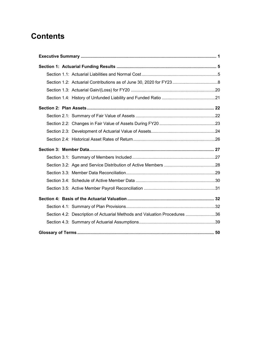# **Contents**

| Section 4.2: Description of Actuarial Methods and Valuation Procedures 36 |  |
|---------------------------------------------------------------------------|--|
|                                                                           |  |
|                                                                           |  |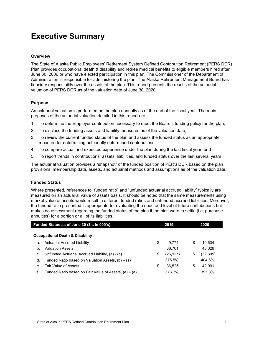# **Executive Summary**

#### **Overview**

The State of Alaska Public Employees' Retirement System Defined Contribution Retirement (PERS DCR) Plan provides occupational death & disability and retiree medical benefits to eligible members hired after June 30, 2006 or who have elected participation in this plan. The Commissioner of the Department of Administration is responsible for administering the plan. The Alaska Retirement Management Board has fiduciary responsibility over the assets of the plan. This report presents the results of the actuarial valuation of PERS DCR as of the valuation date of June 30, 2020.

#### **Purpose**

An actuarial valuation is performed on the plan annually as of the end of the fiscal year. The main purposes of the actuarial valuation detailed in this report are:

- 1. To determine the Employer contribution necessary to meet the Board's funding policy for the plan;
- 2. To disclose the funding assets and liability measures as of the valuation date;
- 3. To review the current funded status of the plan and assess the funded status as an appropriate measure for determining actuarially determined contributions;
- 4. To compare actual and expected experience under the plan during the last fiscal year; and
- 5. To report trends in contributions, assets, liabilities, and funded status over the last several years.

The actuarial valuation provides a "snapshot" of the funded position of PERS DCR based on the plan provisions, membership data, assets, and actuarial methods and assumptions as of the valuation date.

#### **Funded Status**

Where presented, references to "funded ratio" and "unfunded actuarial accrued liability" typically are measured on an actuarial value of assets basis. It should be noted that the same measurements using market value of assets would result in different funded ratios and unfunded accrued liabilities. Moreover, the funded ratio presented is appropriate for evaluating the need and level of future contributions but makes no assessment regarding the funded status of the plan if the plan were to settle (i.e. purchase annuities) for a portion or all of its liabilities.

|    | Funded Status as of June 30 (\$'s in 000's)                | 2019 |           | 2020            |  |
|----|------------------------------------------------------------|------|-----------|-----------------|--|
|    | <b>Occupational Death &amp; Disability</b>                 |      |           |                 |  |
| a. | Actuarial Accrued Liability                                | \$   | 9.774     | \$<br>10,634    |  |
| b. | <b>Valuation Assets</b>                                    |      | 36,701    | 43,029          |  |
| c. | Unfunded Actuarial Accrued Liability, (a) - (b)            | \$   | (26, 927) | \$<br>(32, 395) |  |
| d. | Funded Ratio based on Valuation Assets, (b) $\div$ (a)     |      | 375.5%    | 404.6%          |  |
| е. | <b>Fair Value of Assets</b>                                | \$   | 36.525    | \$<br>42,091    |  |
|    | Funded Ratio based on Fair Value of Assets, $(e) \div (a)$ |      | 373.7%    | 395.8%          |  |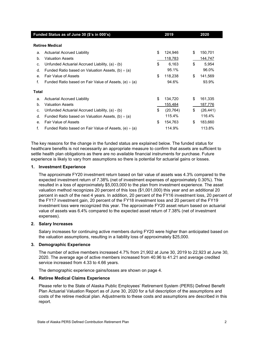|                | Funded Status as of June 30 (\$'s in 000's)                | 2019            | 2020            |
|----------------|------------------------------------------------------------|-----------------|-----------------|
|                | <b>Retiree Medical</b>                                     |                 |                 |
| a.             | Actuarial Accrued Liability                                | \$<br>124,946   | \$<br>150,701   |
| b.             | <b>Valuation Assets</b>                                    | 118,783         | 144,747         |
| c.             | Unfunded Actuarial Accrued Liability, (a) - (b)            | \$<br>6,163     | \$<br>5,954     |
| d.             | Funded Ratio based on Valuation Assets, $(b) \div (a)$     | 95.1%           | 96.0%           |
| e <sub>1</sub> | <b>Fair Value of Assets</b>                                | \$<br>118,238   | \$<br>141,569   |
| f.             | Funded Ratio based on Fair Value of Assets, $(e) \div (a)$ | 94.6%           | 93.9%           |
| <b>Total</b>   |                                                            |                 |                 |
| a.             | <b>Actuarial Accrued Liability</b>                         | \$<br>134,720   | \$<br>161,335   |
| b.             | <b>Valuation Assets</b>                                    | 155,484         | 187,776         |
| C.             | Unfunded Actuarial Accrued Liability, (a) - (b)            | \$<br>(20, 764) | \$<br>(26, 441) |
| d.             | Funded Ratio based on Valuation Assets, $(b) \div (a)$     | 115.4%          | 116.4%          |
| $\mathbf{e}$ . | <b>Fair Value of Assets</b>                                | \$<br>154,763   | \$<br>183,660   |
| f.             | Funded Ratio based on Fair Value of Assets, $(e) \div (a)$ | 114.9%          | 113.8%          |

The key reasons for the change in the funded status are explained below. The funded status for healthcare benefits is not necessarily an appropriate measure to confirm that assets are sufficient to settle health plan obligations as there are no available financial instruments for purchase. Future experience is likely to vary from assumptions so there is potential for actuarial gains or losses.

#### **1. Investment Experience**

The approximate FY20 investment return based on fair value of assets was 4.3% compared to the expected investment return of 7.38% (net of investment expenses of approximately 0.30%). This resulted in a loss of approximately \$5,003,000 to the plan from investment experience. The asset valuation method recognizes 20 percent of this loss (\$1,001,000) this year and an additional 20 percent in each of the next 4 years. In addition, 20 percent of the FY16 investment loss, 20 percent of the FY17 investment gain, 20 percent of the FY18 investment loss and 20 percent of the FY19 investment loss were recognized this year. The approximate FY20 asset return based on actuarial value of assets was 6.4% compared to the expected asset return of 7.38% (net of investment expenses).

#### **2. Salary Increases**

Salary increases for continuing active members during FY20 were higher than anticipated based on the valuation assumptions, resulting in a liability loss of approximately \$25,000.

#### **3. Demographic Experience**

The number of active members increased 4.7% from 21,902 at June 30, 2019 to 22,923 at June 30, 2020. The average age of active members increased from 40.96 to 41.21 and average credited service increased from 4.33 to 4.66 years.

The demographic experience gains/losses are shown on page 4.

#### **4. Retiree Medical Claims Experience**

Please refer to the State of Alaska Public Employees' Retirement System (PERS) Defined Benefit Plan Actuarial Valuation Report as of June 30, 2020 for a full description of the assumptions and costs of the retiree medical plan. Adjustments to these costs and assumptions are described in this report.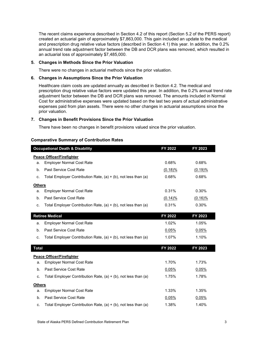The recent claims experience described in Section 4.2 of this report (Section 5.2 of the PERS report) created an actuarial gain of approximately \$7,863,000. This gain included an update to the medical and prescription drug relative value factors (described in Section 4.1) this year. In addition, the 0.2% annual trend rate adjustment factor between the DB and DCR plans was removed, which resulted in an actuarial loss of approximately \$7,485,000.

#### **5. Changes in Methods Since the Prior Valuation**

There were no changes in actuarial methods since the prior valuation.

#### **6. Changes in Assumptions Since the Prior Valuation**

Healthcare claim costs are updated annually as described in Section 4.2. The medical and prescription drug relative value factors were updated this year. In addition, the 0.2% annual trend rate adjustment factor between the DB and DCR plans was removed. The amounts included in Normal Cost for administrative expenses were updated based on the last two years of actual administrative expenses paid from plan assets. There were no other changes in actuarial assumptions since the prior valuation.

#### **7. Changes in Benefit Provisions Since the Prior Valuation**

There have been no changes in benefit provisions valued since the prior valuation.

#### **Comparative Summary of Contribution Rates**

|               | <b>Occupational Death &amp; Disability</b>                          | FY 2022    | FY 2023    |
|---------------|---------------------------------------------------------------------|------------|------------|
|               | <b>Peace Officer/Firefighter</b>                                    |            |            |
| a.            | <b>Employer Normal Cost Rate</b>                                    | 0.68%      | 0.68%      |
| b.            | Past Service Cost Rate                                              | (0.18)%    | $(0.19)$ % |
| c.            | Total Employer Contribution Rate, $(a) + (b)$ , not less than $(a)$ | 0.68%      | 0.68%      |
| <b>Others</b> |                                                                     |            |            |
| a.            | <b>Employer Normal Cost Rate</b>                                    | 0.31%      | 0.30%      |
| b.            | <b>Past Service Cost Rate</b>                                       | $(0.14)$ % | $(0.16)\%$ |
| C.            | Total Employer Contribution Rate, $(a) + (b)$ , not less than $(a)$ | 0.31%      | 0.30%      |
|               | <b>Retiree Medical</b>                                              | FY 2022    | FY 2023    |
|               |                                                                     |            |            |
| a.            | <b>Employer Normal Cost Rate</b>                                    | 1.02%      | 1.05%      |
| b.            | Past Service Cost Rate                                              | 0.05%      | 0.05%      |
| C.            | Total Employer Contribution Rate, $(a) + (b)$ , not less than $(a)$ | 1.07%      | 1.10%      |
| <b>Total</b>  |                                                                     | FY 2022    | FY 2023    |
|               | <b>Peace Officer/Firefighter</b>                                    |            |            |
| a.            | <b>Employer Normal Cost Rate</b>                                    | 1.70%      | 1.73%      |
| b.            | Past Service Cost Rate                                              | 0.05%      | 0.05%      |
| C.            | Total Employer Contribution Rate, $(a) + (b)$ , not less than $(a)$ | 1.75%      | 1.78%      |
| <b>Others</b> |                                                                     |            |            |
| a.            | <b>Employer Normal Cost Rate</b>                                    | 1.33%      | 1.35%      |
| b.            | Past Service Cost Rate                                              | 0.05%      | 0.05%      |
| C.            | Total Employer Contribution Rate, (a) + (b), not less than (a)      | 1.38%      | 1.40%      |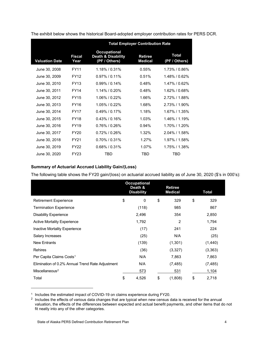|                       |                | <b>Total Employer Contribution Rate</b>                               |                           |                               |  |  |  |  |
|-----------------------|----------------|-----------------------------------------------------------------------|---------------------------|-------------------------------|--|--|--|--|
| <b>Valuation Date</b> | Fiscal<br>Year | <b>Occupational</b><br><b>Death &amp; Disability</b><br>(PF / Others) | Retiree<br><b>Medical</b> | <b>Total</b><br>(PF / Others) |  |  |  |  |
| June 30, 2008         | <b>FY11</b>    | 1.18% / 0.31%                                                         | 0.55%                     | 1.73% / 0.86%                 |  |  |  |  |
| June 30, 2009         | <b>FY12</b>    | $0.97\%$ / 0.11%                                                      | 0.51%                     | 1.48% / 0.62%                 |  |  |  |  |
| June 30, 2010         | <b>FY13</b>    | $0.99\%$ / 0.14%                                                      | 0.48%                     | 1.47%/0.62%                   |  |  |  |  |
| June 30, 2011         | <b>FY14</b>    | 1.14% / 0.20%                                                         | 0.48%                     | 1.62% / 0.68%                 |  |  |  |  |
| June 30, 2012         | <b>FY15</b>    | 1.06% / 0.22%                                                         | 1.66%                     | 2.72%/1.88%                   |  |  |  |  |
| June 30, 2013         | <b>FY16</b>    | 1.05%/0.22%                                                           | 1.68%                     | $2.73\%$ / 1.90%              |  |  |  |  |
| June 30, 2014         | <b>FY17</b>    | $0.49\%$ / 0.17%                                                      | 1.18%                     | 1.67% / 1.35%                 |  |  |  |  |
| June 30, 2015         | <b>FY18</b>    | $0.43\%$ / 0.16%                                                      | 1.03%                     | 1.46% / 1.19%                 |  |  |  |  |
| June 30, 2016         | <b>FY19</b>    | $0.76\%$ / $0.26\%$                                                   | 0.94%                     | 1.70%/1.20%                   |  |  |  |  |
| June 30, 2017         | <b>FY20</b>    | $0.72\%$ / $0.26\%$                                                   | 1.32%                     | 2.04% / 1.58%                 |  |  |  |  |
| June 30, 2018         | <b>FY21</b>    | $0.70\%$ / $0.31\%$                                                   | 1.27%                     | 1.97% / 1.58%                 |  |  |  |  |
| June 30, 2019         | <b>FY22</b>    | $0.68\%$ / $0.31\%$                                                   | 1.07%                     | 1.75% / 1.38%                 |  |  |  |  |
| June 30, 2020         | FY23           | TBD                                                                   | TBD                       | <b>TBD</b>                    |  |  |  |  |

The exhibit below shows the historical Board-adopted employer contribution rates for PERS DCR.

#### **Summary of Actuarial Accrued Liability Gain/(Loss)**

The following table shows the FY20 gain/(loss) on actuarial accrued liability as of June 30, 2020 (\$'s in 000's):

|                                                  | <b>Occupational</b><br>Death &<br><b>Disability</b> | <b>Retiree</b><br><b>Medical</b> | Total       |
|--------------------------------------------------|-----------------------------------------------------|----------------------------------|-------------|
| <b>Retirement Experience</b>                     | \$<br>0                                             | \$<br>329                        | \$<br>329   |
| <b>Termination Experience</b>                    | (118)                                               | 985                              | 867         |
| <b>Disability Experience</b>                     | 2,496                                               | 354                              | 2,850       |
| <b>Active Mortality Experience</b>               | 1,792                                               | $\overline{2}$                   | 1,794       |
| Inactive Mortality Experience                    | (17)                                                | 241                              | 224         |
| Salary Increases                                 | (25)                                                | N/A                              | (25)        |
| <b>New Entrants</b>                              | (139)                                               | (1,301)                          | (1,440)     |
| <b>Rehires</b>                                   | (36)                                                | (3, 327)                         | (3, 363)    |
| Per Capita Claims Costs <sup>1</sup>             | N/A                                                 | 7,863                            | 7,863       |
| Elimination of 0.2% Annual Trend Rate Adjustment | N/A                                                 | (7, 485)                         | (7, 485)    |
| Miscellaneous <sup>2</sup>                       | 573                                                 | 531                              | 1,104       |
| Total                                            | \$<br>4,526                                         | \$<br>(1,808)                    | \$<br>2,718 |

<span id="page-8-0"></span><sup>&</sup>lt;sup>1</sup> Includes the estimated impact of COVID-19 on claims experience during FY20.

-

<span id="page-8-1"></span><sup>&</sup>lt;sup>2</sup> Includes the effects of various data changes that are typical when new census data is received for the annual valuation, the effects of the differences between expected and actual benefit payments, and other items that do not fit neatly into any of the other categories.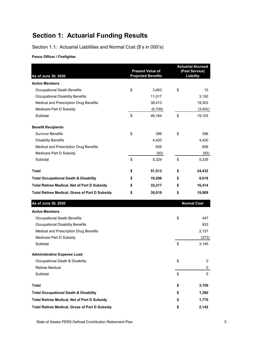# **Section 1: Actuarial Funding Results**

Section 1.1: Actuarial Liabilities and Normal Cost (\$'s in 000's)

**Peace Officer / Firefighter**

| As of June 30, 2020                                   | <b>Present Value of</b><br><b>Projected Benefits</b> | <b>Actuarial Accrued</b><br>(Past Service)<br><b>Liability</b> |                    |
|-------------------------------------------------------|------------------------------------------------------|----------------------------------------------------------------|--------------------|
| <b>Active Members</b>                                 |                                                      |                                                                |                    |
| <b>Occupational Death Benefits</b>                    | \$<br>3,463                                          | \$                                                             | 10                 |
| <b>Occupational Disability Benefits</b>               | 11,017                                               |                                                                | 3,192              |
| Medical and Prescription Drug Benefits                | 38,413                                               |                                                                | 19,303             |
| Medicare Part D Subsidy                               | (6,709)                                              |                                                                | (3, 402)           |
| Subtotal                                              | \$<br>46,184                                         | \$                                                             | 19,103             |
| <b>Benefit Recipients</b>                             |                                                      |                                                                |                    |
| <b>Survivor Benefits</b>                              | \$<br>396                                            | \$                                                             | 396                |
| <b>Disability Benefits</b>                            | 4,420                                                |                                                                | 4,420              |
| Medical and Prescription Drug Benefits                | 606                                                  |                                                                | 606                |
| Medicare Part D Subsidy                               | (93)                                                 |                                                                | (93)               |
| Subtotal                                              | \$<br>5,329                                          | \$                                                             | 5,329              |
| <b>Total</b>                                          | \$<br>51,513                                         | \$                                                             | 24,432             |
| <b>Total Occupational Death &amp; Disability</b>      | \$<br>19,296                                         | \$                                                             | 8,018              |
| <b>Total Retiree Medical, Net of Part D Subsidy</b>   | \$<br>32,217                                         | \$                                                             | 16,414             |
| <b>Total Retiree Medical, Gross of Part D Subsidy</b> | \$<br>39,019                                         | \$                                                             | 19,909             |
| As of June 30, 2020                                   |                                                      |                                                                | <b>Normal Cost</b> |
| <b>Active Members</b>                                 |                                                      |                                                                |                    |
| Occupational Death Benefits                           |                                                      | \$                                                             | 447                |
| <b>Occupational Disability Benefits</b>               |                                                      |                                                                | 933                |
| Medical and Prescription Drug Benefits                |                                                      |                                                                | 2,137              |
| Medicare Part D Subsidy                               |                                                      |                                                                | (372)              |
| Subtotal                                              |                                                      | \$                                                             | 3,145              |
| <b>Administrative Expense Load</b>                    |                                                      |                                                                |                    |
| Occupational Death & Disability                       |                                                      | \$                                                             | 0                  |
| Retiree Medical                                       |                                                      |                                                                | 5                  |
| Subtotal                                              |                                                      | \$                                                             | 5                  |
| <b>Total</b>                                          |                                                      | \$                                                             | 3,150              |
| <b>Total Occupational Death &amp; Disability</b>      |                                                      | \$                                                             | 1,380              |
| <b>Total Retiree Medical, Net of Part D Subsidy</b>   |                                                      | \$                                                             | 1,770              |
| <b>Total Retiree Medical, Gross of Part D Subsidy</b> |                                                      | \$                                                             | 2,142              |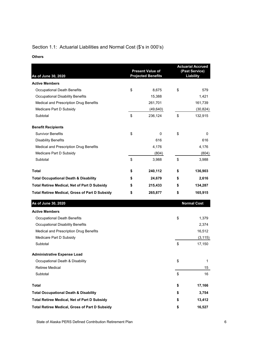## Section 1.1: Actuarial Liabilities and Normal Cost (\$'s in 000's)

#### **Others**

| As of June 30, 2020                                   | <b>Present Value of</b><br><b>Projected Benefits</b> | <b>Actuarial Accrued</b><br>(Past Service)<br>Liability |                    |  |
|-------------------------------------------------------|------------------------------------------------------|---------------------------------------------------------|--------------------|--|
| <b>Active Members</b>                                 |                                                      |                                                         |                    |  |
| Occupational Death Benefits                           | \$<br>8,675                                          | \$                                                      | 579                |  |
| Occupational Disability Benefits                      | 15,388                                               |                                                         | 1,421              |  |
| Medical and Prescription Drug Benefits                | 261,701                                              |                                                         | 161,739            |  |
| Medicare Part D Subsidy                               | (49, 640)                                            |                                                         | (30, 824)          |  |
| Subtotal                                              | \$<br>236,124                                        | \$                                                      | 132,915            |  |
| <b>Benefit Recipients</b>                             |                                                      |                                                         |                    |  |
| <b>Survivor Benefits</b>                              | \$<br>0                                              | \$                                                      | 0                  |  |
| <b>Disability Benefits</b>                            | 616                                                  |                                                         | 616                |  |
| Medical and Prescription Drug Benefits                | 4,176                                                |                                                         | 4,176              |  |
| Medicare Part D Subsidy                               | (804)                                                |                                                         | (804)              |  |
| Subtotal                                              | \$<br>3,988                                          | \$                                                      | 3,988              |  |
| <b>Total</b>                                          | \$<br>240,112                                        | \$                                                      | 136,903            |  |
| <b>Total Occupational Death &amp; Disability</b>      | \$<br>24,679                                         | \$                                                      | 2,616              |  |
| <b>Total Retiree Medical, Net of Part D Subsidy</b>   | \$<br>215,433                                        | \$                                                      | 134,287            |  |
| <b>Total Retiree Medical, Gross of Part D Subsidy</b> | \$<br>265,877                                        | \$                                                      | 165,915            |  |
| As of June 30, 2020                                   |                                                      |                                                         | <b>Normal Cost</b> |  |
| <b>Active Members</b>                                 |                                                      |                                                         |                    |  |
| Occupational Death Benefits                           |                                                      | \$                                                      | 1,379              |  |
| Occupational Disability Benefits                      |                                                      |                                                         | 2,374              |  |
| Medical and Prescription Drug Benefits                |                                                      |                                                         | 16,512             |  |
| Medicare Part D Subsidy                               |                                                      |                                                         | (3, 115)           |  |
| Subtotal                                              |                                                      | \$                                                      | 17,150             |  |
| <b>Administrative Expense Load</b>                    |                                                      |                                                         |                    |  |
| Occupational Death & Disability                       |                                                      | \$                                                      | 1                  |  |
| <b>Retiree Medical</b>                                |                                                      |                                                         | 15                 |  |
| Subtotal                                              |                                                      | \$                                                      | 16                 |  |
| Total                                                 |                                                      | \$                                                      | 17,166             |  |
| <b>Total Occupational Death &amp; Disability</b>      |                                                      | \$                                                      | 3,754              |  |
| <b>Total Retiree Medical, Net of Part D Subsidy</b>   |                                                      | \$                                                      | 13,412             |  |
| <b>Total Retiree Medical, Gross of Part D Subsidy</b> |                                                      | \$                                                      | 16,527             |  |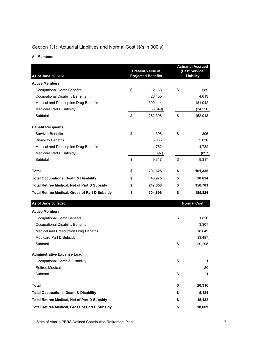## Section 1.1: Actuarial Liabilities and Normal Cost (\$'s in 000's)

#### **All Members**

| As of June 30, 2020                                   | <b>Present Value of</b><br><b>Projected Benefits</b> | <b>Actuarial Accrued</b><br>(Past Service)<br>Liability |                    |  |
|-------------------------------------------------------|------------------------------------------------------|---------------------------------------------------------|--------------------|--|
| <b>Active Members</b>                                 |                                                      |                                                         |                    |  |
| <b>Occupational Death Benefits</b>                    | \$<br>12,138                                         | \$                                                      | 589                |  |
| Occupational Disability Benefits                      | 26,405                                               |                                                         | 4,613              |  |
| Medical and Prescription Drug Benefits                | 300,114                                              |                                                         | 181,042            |  |
| Medicare Part D Subsidy                               | (56, 349)                                            |                                                         | (34, 226)          |  |
| Subtotal                                              | \$<br>282,308                                        | \$                                                      | 152,018            |  |
| <b>Benefit Recipients</b>                             |                                                      |                                                         |                    |  |
| <b>Survivor Benefits</b>                              | \$<br>396                                            | \$                                                      | 396                |  |
| <b>Disability Benefits</b>                            | 5,036                                                |                                                         | 5,036              |  |
| Medical and Prescription Drug Benefits                | 4,782                                                |                                                         | 4,782              |  |
| Medicare Part D Subsidy                               | (897)                                                |                                                         | (897)              |  |
| Subtotal                                              | \$<br>9,317                                          | \$                                                      | 9,317              |  |
| <b>Total</b>                                          | \$<br>291,625                                        | \$                                                      | 161,335            |  |
| <b>Total Occupational Death &amp; Disability</b>      | \$<br>43,975                                         | \$                                                      | 10,634             |  |
| <b>Total Retiree Medical, Net of Part D Subsidy</b>   | \$<br>247,650                                        | \$                                                      | 150,701            |  |
| <b>Total Retiree Medical, Gross of Part D Subsidy</b> | \$<br>304,896                                        | \$                                                      | 185,824            |  |
| As of June 30, 2020                                   |                                                      |                                                         | <b>Normal Cost</b> |  |
| <b>Active Members</b>                                 |                                                      |                                                         |                    |  |
| Occupational Death Benefits                           |                                                      | \$                                                      | 1,826              |  |
| Occupational Disability Benefits                      |                                                      |                                                         | 3,307              |  |
| Medical and Prescription Drug Benefits                |                                                      |                                                         | 18,649             |  |
| Medicare Part D Subsidy                               |                                                      |                                                         | (3, 487)           |  |
| Subtotal                                              |                                                      | \$                                                      | 20,295             |  |
| <b>Administrative Expense Load</b>                    |                                                      |                                                         |                    |  |
| Occupational Death & Disability                       |                                                      | \$                                                      | 1                  |  |
| <b>Retiree Medical</b>                                |                                                      |                                                         | 20                 |  |
| Subtotal                                              |                                                      | \$                                                      | 21                 |  |
| <b>Total</b>                                          |                                                      | \$                                                      | 20,316             |  |
| <b>Total Occupational Death &amp; Disability</b>      |                                                      | \$                                                      | 5,134              |  |
| <b>Total Retiree Medical, Net of Part D Subsidy</b>   |                                                      | \$                                                      | 15,182             |  |
| <b>Total Retiree Medical, Gross of Part D Subsidy</b> |                                                      | \$                                                      | 18,669             |  |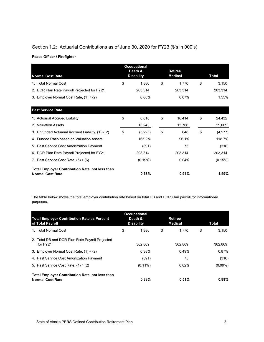## Section 1.2: Actuarial Contributions as of June 30, 2020 for FY23 (\$'s in 000's)

|  | Peace Officer / Firefighter |  |
|--|-----------------------------|--|
|  |                             |  |

| <b>Normal Cost Rate</b>                                                           |    | <b>Occupational</b><br>Death &<br><b>Disability</b> | <b>Retiree</b><br><b>Medical</b> | Total          |
|-----------------------------------------------------------------------------------|----|-----------------------------------------------------|----------------------------------|----------------|
| 1. Total Normal Cost                                                              | \$ | 1,380                                               | \$<br>1.770                      | \$<br>3,150    |
| 2. DCR Plan Rate Payroll Projected for FY21                                       |    | 203,314                                             | 203,314                          | 203,314        |
| 3. Employer Normal Cost Rate, $(1) \div (2)$                                      |    | 0.68%                                               | 0.87%                            | 1.55%          |
| <b>Past Service Rate</b>                                                          |    |                                                     |                                  |                |
| 1. Actuarial Accrued Liability                                                    | \$ | 8,018                                               | \$<br>16,414                     | \$<br>24,432   |
| 2. Valuation Assets                                                               |    | 13,243                                              | 15,766                           | 29,009         |
| 3. Unfunded Actuarial Accrued Liability, (1) - (2)                                | \$ | (5,225)                                             | \$<br>648                        | \$<br>(4, 577) |
| 4. Funded Ratio based on Valuation Assets                                         |    | 165.2%                                              | 96.1%                            | 118.7%         |
| 5. Past Service Cost Amortization Payment                                         |    | (391)                                               | 75                               | (316)          |
| 6. DCR Plan Rate Payroll Projected for FY21                                       |    | 203,314                                             | 203,314                          | 203,314        |
| 7. Past Service Cost Rate, $(5) \div (6)$                                         |    | $(0.19\%)$                                          | 0.04%                            | (0.15%)        |
| <b>Total Employer Contribution Rate, not less than</b><br><b>Normal Cost Rate</b> |    | 0.68%                                               | 0.91%                            | 1.59%          |

The table below shows the total employer contribution rate based on total DB and DCR Plan payroll for informational purposes.

| <b>Total Employer Contribution Rate as Percent</b><br>of Total Payroll            | <b>Occupational</b><br>Death &<br><b>Disability</b> | <b>Retiree</b><br><b>Medical</b> |             | Total      |
|-----------------------------------------------------------------------------------|-----------------------------------------------------|----------------------------------|-------------|------------|
| 1. Total Normal Cost                                                              | \$<br>1.380                                         | \$                               | \$<br>1.770 | 3.150      |
| 2. Total DB and DCR Plan Rate Payroll Projected<br>for FY21                       | 362.869                                             |                                  | 362.869     | 362.869    |
| 3. Employer Normal Cost Rate, $(1) \div (2)$                                      | 0.38%                                               |                                  | 0.49%       | 0.87%      |
| 4. Past Service Cost Amortization Payment                                         | (391)                                               |                                  | 75          | (316)      |
| 5. Past Service Cost Rate, $(4) \div (2)$                                         | $(0.11\%)$                                          |                                  | 0.02%       | $(0.09\%)$ |
| <b>Total Employer Contribution Rate, not less than</b><br><b>Normal Cost Rate</b> | 0.38%                                               |                                  | 0.51%       | $0.89\%$   |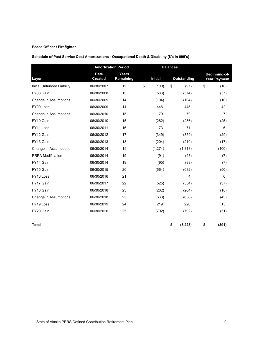#### **Peace Officer / Firefighter**

**Schedule of Past Service Cost Amortizations - Occupational Death & Disability (\$'s in 000's)**

|                            | <b>Amortization Period</b>    |                           | <b>Balances</b> |    |                    |    |                                             |
|----------------------------|-------------------------------|---------------------------|-----------------|----|--------------------|----|---------------------------------------------|
| Layer                      | <b>Date</b><br><b>Created</b> | <b>Years</b><br>Remaining | <b>Initial</b>  |    | <b>Outstanding</b> |    | <b>Beginning-of-</b><br><b>Year Payment</b> |
| Initial Unfunded Liability | 06/30/2007                    | 12                        | \$<br>(100)     | \$ | (97)               | \$ | (10)                                        |
| FY08 Gain                  | 06/30/2008                    | 13                        | (586)           |    | (574)              |    | (57)                                        |
| Change in Assumptions      | 06/30/2009                    | 14                        | (104)           |    | (104)              |    | (10)                                        |
| FY09 Loss                  | 06/30/2009                    | 14                        | 446             |    | 445                |    | 42                                          |
| Change in Assumptions      | 06/30/2010                    | 15                        | 79              |    | 79                 |    | 7                                           |
| FY10 Gain                  | 06/30/2010                    | 15                        | (282)           |    | (286)              |    | (25)                                        |
| FY11 Loss                  | 06/30/2011                    | 16                        | 73              |    | 71                 |    | 6                                           |
| FY12 Gain                  | 06/30/2012                    | 17                        | (349)           |    | (359)              |    | (29)                                        |
| FY13 Gain                  | 06/30/2013                    | 18                        | (204)           |    | (210)              |    | (17)                                        |
| Change in Assumptions      | 06/30/2014                    | 19                        | (1, 274)        |    | (1, 313)           |    | (100)                                       |
| PRPA Modification          | 06/30/2014                    | 19                        | (91)            |    | (93)               |    | (7)                                         |
| FY14 Gain                  | 06/30/2014                    | 19                        | (95)            |    | (98)               |    | (7)                                         |
| FY15 Gain                  | 06/30/2015                    | 20                        | (664)           |    | (682)              |    | (50)                                        |
| FY16 Loss                  | 06/30/2016                    | 21                        | 4               |    | 4                  |    | $\mathbf 0$                                 |
| FY17 Gain                  | 06/30/2017                    | 22                        | (525)           |    | (534)              |    | (37)                                        |
| FY18 Gain                  | 06/30/2018                    | 23                        | (262)           |    | (264)              |    | (18)                                        |
| Change in Assumptions      | 06/30/2018                    | 23                        | (633)           |    | (638)              |    | (43)                                        |
| FY19 Loss                  | 06/30/2019                    | 24                        | 219             |    | 220                |    | 15                                          |
| FY20 Gain                  | 06/30/2020                    | 25                        | (792)           |    | (792)              |    | (51)                                        |
| <b>Total</b>               |                               |                           |                 | \$ | (5, 225)           | \$ | (391)                                       |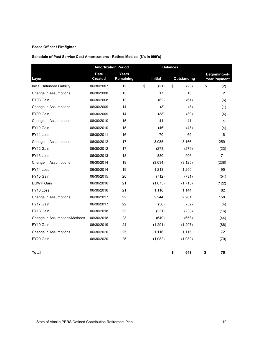#### **Peace Officer / Firefighter**

| Schedule of Past Service Cost Amortizations - Retiree Medical (\$'s in 000's) |  |  |
|-------------------------------------------------------------------------------|--|--|
|                                                                               |  |  |

|                               |                               | <b>Amortization Period</b> |                | <b>Balances</b> |                    |                                      |  |
|-------------------------------|-------------------------------|----------------------------|----------------|-----------------|--------------------|--------------------------------------|--|
| Layer                         | <b>Date</b><br><b>Created</b> | Years<br>Remaining         | <b>Initial</b> |                 | <b>Outstanding</b> | Beginning-of-<br><b>Year Payment</b> |  |
| Initial Unfunded Liability    | 06/30/2007                    | 12                         | \$<br>(21)     | \$              | (23)               | \$<br>(2)                            |  |
| Change in Assumptions         | 06/30/2008                    | 13                         | 17             |                 | 16                 | $\overline{2}$                       |  |
| FY08 Gain                     | 06/30/2008                    | 13                         | (62)           |                 | (61)               | (6)                                  |  |
| Change in Assumptions         | 06/30/2009                    | 14                         | (8)            |                 | (8)                | (1)                                  |  |
| FY09 Gain                     | 06/30/2009                    | 14                         | (38)           |                 | (39)               | (4)                                  |  |
| Change in Assumptions         | 06/30/2010                    | 15                         | 41             |                 | 41                 | 4                                    |  |
| FY10 Gain                     | 06/30/2010                    | 15                         | (46)           |                 | (43)               | (4)                                  |  |
| FY11 Loss                     | 06/30/2011                    | 16                         | 70             |                 | 69                 | 6                                    |  |
| Change in Assumptions         | 06/30/2012                    | 17                         | 3,085          |                 | 3,166              | 259                                  |  |
| FY12 Gain                     | 06/30/2012                    | 17                         | (273)          |                 | (279)              | (23)                                 |  |
| FY13 Loss                     | 06/30/2013                    | 18                         | 880            |                 | 906                | 71                                   |  |
| Change in Assumptions         | 06/30/2014                    | 19                         | (3,034)        |                 | (3, 125)           | (238)                                |  |
| FY14 Loss                     | 06/30/2014                    | 19                         | 1,213          |                 | 1,250              | 95                                   |  |
| FY15 Gain                     | 06/30/2015                    | 20                         | (712)          |                 | (731)              | (54)                                 |  |
| <b>EGWP Gain</b>              | 06/30/2016                    | 21                         | (1,675)        |                 | (1,715)            | (122)                                |  |
| FY16 Loss                     | 06/30/2016                    | 21                         | 1,116          |                 | 1,144              | 82                                   |  |
| Change in Assumptions         | 06/30/2017                    | 22                         | 2,244          |                 | 2,281              | 158                                  |  |
| FY17 Gain                     | 06/30/2017                    | 22                         | (50)           |                 | (52)               | (4)                                  |  |
| FY18 Gain                     | 06/30/2018                    | 23                         | (231)          |                 | (233)              | (16)                                 |  |
| Change in Assumptions/Methods | 06/30/2018                    | 23                         | (649)          |                 | (653)              | (44)                                 |  |
| FY19 Gain                     | 06/30/2019                    | 24                         | (1, 291)       |                 | (1,297)            | (86)                                 |  |
| Change in Assumptions         | 06/30/2020                    | 25                         | 1,116          |                 | 1,116              | 72                                   |  |
| FY20 Gain                     | 06/30/2020                    | 25                         | (1,082)        |                 | (1,082)            | (70)                                 |  |
| <b>Total</b>                  |                               |                            |                | \$              | 648                | \$<br>75                             |  |

State of Alaska PERS Defined Contribution Retirement Plan 10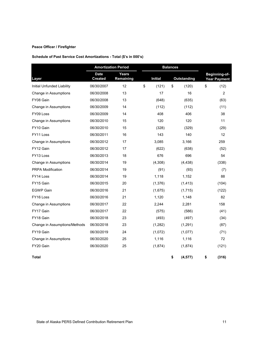#### **Peace Officer / Firefighter**

#### **Schedule of Past Service Cost Amortizations - Total (\$'s in 000's)**

|                               |                               | <b>Amortization Period</b> |                | <b>Balances</b>           |                    |                                      |
|-------------------------------|-------------------------------|----------------------------|----------------|---------------------------|--------------------|--------------------------------------|
| Layer                         | <b>Date</b><br><b>Created</b> | Years<br>Remaining         | <b>Initial</b> |                           | <b>Outstanding</b> | Beginning-of-<br><b>Year Payment</b> |
| Initial Unfunded Liability    | 06/30/2007                    | 12                         | \$<br>(121)    | $\boldsymbol{\mathsf{S}}$ | (120)              | \$<br>(12)                           |
| Change in Assumptions         | 06/30/2008                    | 13                         | 17             |                           | 16                 | $\overline{2}$                       |
| FY08 Gain                     | 06/30/2008                    | 13                         | (648)          |                           | (635)              | (63)                                 |
| Change in Assumptions         | 06/30/2009                    | 14                         | (112)          |                           | (112)              | (11)                                 |
| FY09 Loss                     | 06/30/2009                    | 14                         | 408            |                           | 406                | 38                                   |
| Change in Assumptions         | 06/30/2010                    | 15                         | 120            |                           | 120                | 11                                   |
| FY10 Gain                     | 06/30/2010                    | 15                         | (328)          |                           | (329)              | (29)                                 |
| FY11 Loss                     | 06/30/2011                    | 16                         | 143            |                           | 140                | 12                                   |
| Change in Assumptions         | 06/30/2012                    | 17                         | 3,085          |                           | 3,166              | 259                                  |
| FY12 Gain                     | 06/30/2012                    | 17                         | (622)          |                           | (638)              | (52)                                 |
| FY13 Loss                     | 06/30/2013                    | 18                         | 676            |                           | 696                | 54                                   |
| Change in Assumptions         | 06/30/2014                    | 19                         | (4,308)        |                           | (4, 438)           | (338)                                |
| PRPA Modification             | 06/30/2014                    | 19                         | (91)           |                           | (93)               | (7)                                  |
| FY14 Loss                     | 06/30/2014                    | 19                         | 1,118          |                           | 1,152              | 88                                   |
| FY15 Gain                     | 06/30/2015                    | 20                         | (1,376)        |                           | (1, 413)           | (104)                                |
| <b>EGWP Gain</b>              | 06/30/2016                    | 21                         | (1,675)        |                           | (1,715)            | (122)                                |
| FY16 Loss                     | 06/30/2016                    | 21                         | 1,120          |                           | 1,148              | 82                                   |
| Change in Assumptions         | 06/30/2017                    | 22                         | 2,244          |                           | 2,281              | 158                                  |
| FY17 Gain                     | 06/30/2017                    | 22                         | (575)          |                           | (586)              | (41)                                 |
| FY18 Gain                     | 06/30/2018                    | 23                         | (493)          |                           | (497)              | (34)                                 |
| Change in Assumptions/Methods | 06/30/2018                    | 23                         | (1,282)        |                           | (1,291)            | (87)                                 |
| FY19 Gain                     | 06/30/2019                    | 24                         | (1,072)        |                           | (1,077)            | (71)                                 |
| Change in Assumptions         | 06/30/2020                    | 25                         | 1,116          |                           | 1,116              | 72                                   |
| FY20 Gain                     | 06/30/2020                    | 25                         | (1,874)        |                           | (1,874)            | (121)                                |
| Total                         |                               |                            |                | \$                        | (4, 577)           | \$<br>(316)                          |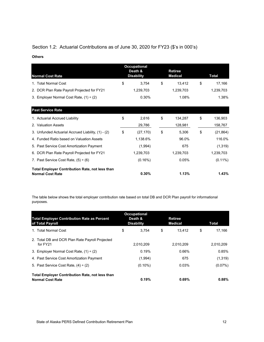## Section 1.2: Actuarial Contributions as of June 30, 2020 for FY23 (\$'s in 000's)

#### **Others**

| <b>Normal Cost Rate</b>                                                           |    | <b>Occupational</b><br>Death &<br><b>Disability</b> | <b>Retiree</b><br><b>Medical</b> | Total           |  |  |
|-----------------------------------------------------------------------------------|----|-----------------------------------------------------|----------------------------------|-----------------|--|--|
| 1. Total Normal Cost                                                              | \$ | 3,754                                               | \$<br>13,412                     | \$<br>17,166    |  |  |
| 2. DCR Plan Rate Payroll Projected for FY21                                       |    | 1,239,703                                           | 1,239,703                        | 1,239,703       |  |  |
| 3. Employer Normal Cost Rate, $(1) \div (2)$                                      |    | 0.30%                                               | 1.08%                            | 1.38%           |  |  |
| <b>Past Service Rate</b>                                                          |    |                                                     |                                  |                 |  |  |
| 1. Actuarial Accrued Liability                                                    | \$ | 2,616                                               | \$<br>134,287                    | \$<br>136,903   |  |  |
| 2. Valuation Assets                                                               |    | 29,786                                              | 128,981                          | 158,767         |  |  |
| 3. Unfunded Actuarial Accrued Liability, (1) - (2)                                | \$ | (27, 170)                                           | \$<br>5,306                      | \$<br>(21, 864) |  |  |
| 4. Funded Ratio based on Valuation Assets                                         |    | 1,138.6%                                            | 96.0%                            | 116.0%          |  |  |
| 5. Past Service Cost Amortization Payment                                         |    | (1,994)                                             | 675                              | (1,319)         |  |  |
| 6. DCR Plan Rate Payroll Projected for FY21                                       |    | 1,239,703                                           | 1,239,703                        | 1,239,703       |  |  |
| 7. Past Service Cost Rate, $(5) \div (6)$                                         |    | (0.16%)                                             | 0.05%                            | $(0.11\%)$      |  |  |
| <b>Total Employer Contribution Rate, not less than</b><br><b>Normal Cost Rate</b> |    | 0.30%                                               | 1.13%                            | 1.43%           |  |  |

The table below shows the total employer contribution rate based on total DB and DCR Plan payroll for informational purposes.

| <b>Total Employer Contribution Rate as Percent</b><br>of Total Payroll            | <b>Occupational</b><br>Death &<br><b>Disability</b> | <b>Retiree</b><br><b>Medical</b> |              |  |
|-----------------------------------------------------------------------------------|-----------------------------------------------------|----------------------------------|--------------|--|
| 1. Total Normal Cost                                                              | \$<br>3.754                                         | \$<br>13.412                     | \$<br>17.166 |  |
| 2. Total DB and DCR Plan Rate Payroll Projected<br>for FY21                       | 2,010,209                                           | 2,010,209                        | 2,010,209    |  |
| 3. Employer Normal Cost Rate, $(1) \div (2)$                                      | 0.19%                                               | 0.66%                            | 0.85%        |  |
| 4. Past Service Cost Amortization Payment                                         | (1,994)                                             | 675                              | (1,319)      |  |
| 5. Past Service Cost Rate, $(4) \div (2)$                                         | $(0.10\%)$                                          | 0.03%                            | $(0.07\%)$   |  |
| <b>Total Employer Contribution Rate, not less than</b><br><b>Normal Cost Rate</b> | 0.19%                                               | 0.69%                            | 0.88%        |  |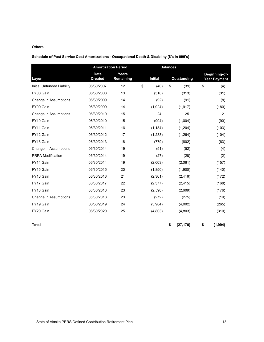#### **Others**

| Schedule of Past Service Cost Amortizations - Occupational Death & Disability (\$'s in 000's) |  |  |
|-----------------------------------------------------------------------------------------------|--|--|
|-----------------------------------------------------------------------------------------------|--|--|

|                            | <b>Amortization Period</b>    |                    | <b>Balances</b> |                 |                                      |
|----------------------------|-------------------------------|--------------------|-----------------|-----------------|--------------------------------------|
| Layer                      | <b>Date</b><br><b>Created</b> | Years<br>Remaining | <b>Initial</b>  | Outstanding     | Beginning-of-<br><b>Year Payment</b> |
| Initial Unfunded Liability | 06/30/2007                    | 12                 | \$<br>(40)      | \$<br>(39)      | \$<br>(4)                            |
| FY08 Gain                  | 06/30/2008                    | 13                 | (318)           | (313)           | (31)                                 |
| Change in Assumptions      | 06/30/2009                    | 14                 | (92)            | (91)            | (8)                                  |
| FY09 Gain                  | 06/30/2009                    | 14                 | (1,924)         | (1, 917)        | (180)                                |
| Change in Assumptions      | 06/30/2010                    | 15                 | 24              | 25              | $\overline{2}$                       |
| FY10 Gain                  | 06/30/2010                    | 15                 | (994)           | (1,004)         | (90)                                 |
| FY11 Gain                  | 06/30/2011                    | 16                 | (1, 184)        | (1,204)         | (103)                                |
| FY12 Gain                  | 06/30/2012                    | 17                 | (1,233)         | (1,264)         | (104)                                |
| FY13 Gain                  | 06/30/2013                    | 18                 | (779)           | (802)           | (63)                                 |
| Change in Assumptions      | 06/30/2014                    | 19                 | (51)            | (52)            | (4)                                  |
| <b>PRPA Modification</b>   | 06/30/2014                    | 19                 | (27)            | (28)            | (2)                                  |
| FY14 Gain                  | 06/30/2014                    | 19                 | (2,003)         | (2,061)         | (157)                                |
| FY15 Gain                  | 06/30/2015                    | 20                 | (1,850)         | (1,900)         | (140)                                |
| FY16 Gain                  | 06/30/2016                    | 21                 | (2,361)         | (2, 416)        | (172)                                |
| FY17 Gain                  | 06/30/2017                    | 22                 | (2,377)         | (2, 415)        | (168)                                |
| FY18 Gain                  | 06/30/2018                    | 23                 | (2,590)         | (2,609)         | (176)                                |
| Change in Assumptions      | 06/30/2018                    | 23                 | (272)           | (275)           | (19)                                 |
| FY19 Gain                  | 06/30/2019                    | 24                 | (3,984)         | (4,002)         | (265)                                |
| FY20 Gain                  | 06/30/2020                    | 25                 | (4,803)         | (4,803)         | (310)                                |
| <b>Total</b>               |                               |                    |                 | \$<br>(27, 170) | \$<br>(1,994)                        |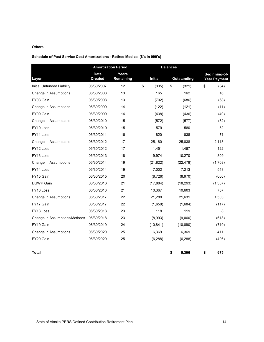#### **Others**

#### **Schedule of Past Service Cost Amortizations - Retiree Medical (\$'s in 000's)**

|                               |                               | <b>Amortization Period</b> |                | <b>Balances</b> |                    |    |                                      |  |
|-------------------------------|-------------------------------|----------------------------|----------------|-----------------|--------------------|----|--------------------------------------|--|
| Layer                         | <b>Date</b><br><b>Created</b> | <b>Years</b><br>Remaining  | <b>Initial</b> |                 | <b>Outstanding</b> |    | Beginning-of-<br><b>Year Payment</b> |  |
| Initial Unfunded Liability    | 06/30/2007                    | 12                         | \$<br>(335)    | $\mathfrak{s}$  | (321)              | \$ | (34)                                 |  |
| Change in Assumptions         | 06/30/2008                    | 13                         | 165            |                 | 162                |    | 16                                   |  |
| FY08 Gain                     | 06/30/2008                    | 13                         | (702)          |                 | (686)              |    | (68)                                 |  |
| Change in Assumptions         | 06/30/2009                    | 14                         | (122)          |                 | (121)              |    | (11)                                 |  |
| FY09 Gain                     | 06/30/2009                    | 14                         | (438)          |                 | (436)              |    | (40)                                 |  |
| Change in Assumptions         | 06/30/2010                    | 15                         | (572)          |                 | (577)              |    | (52)                                 |  |
| FY10 Loss                     | 06/30/2010                    | 15                         | 579            |                 | 580                |    | 52                                   |  |
| FY11 Loss                     | 06/30/2011                    | 16                         | 820            |                 | 838                |    | 71                                   |  |
| Change in Assumptions         | 06/30/2012                    | 17                         | 25,180         |                 | 25,838             |    | 2,113                                |  |
| FY12 Loss                     | 06/30/2012                    | 17                         | 1,451          |                 | 1,487              |    | 122                                  |  |
| FY13 Loss                     | 06/30/2013                    | 18                         | 9,974          |                 | 10,270             |    | 809                                  |  |
| Change in Assumptions         | 06/30/2014                    | 19                         | (21, 822)      |                 | (22, 478)          |    | (1,708)                              |  |
| FY14 Loss                     | 06/30/2014                    | 19                         | 7,002          |                 | 7,213              |    | 548                                  |  |
| FY15 Gain                     | 06/30/2015                    | 20                         | (8,726)        |                 | (8,970)            |    | (660)                                |  |
| <b>EGWP Gain</b>              | 06/30/2016                    | 21                         | (17, 884)      |                 | (18, 293)          |    | (1,307)                              |  |
| FY16 Loss                     | 06/30/2016                    | 21                         | 10,367         |                 | 10,603             |    | 757                                  |  |
| Change in Assumptions         | 06/30/2017                    | 22                         | 21,288         |                 | 21,631             |    | 1,503                                |  |
| FY17 Gain                     | 06/30/2017                    | 22                         | (1,658)        |                 | (1,684)            |    | (117)                                |  |
| FY18 Loss                     | 06/30/2018                    | 23                         | 118            |                 | 119                |    | 8                                    |  |
| Change in Assumptions/Methods | 06/30/2018                    | 23                         | (8,993)        |                 | (9,060)            |    | (613)                                |  |
| FY19 Gain                     | 06/30/2019                    | 24                         | (10, 841)      |                 | (10, 890)          |    | (719)                                |  |
| Change in Assumptions         | 06/30/2020                    | 25                         | 6,369          |                 | 6,369              |    | 411                                  |  |
| FY20 Gain                     | 06/30/2020                    | 25                         | (6, 288)       |                 | (6, 288)           |    | (406)                                |  |
| <b>Total</b>                  |                               |                            |                | \$              | 5,306              | \$ | 675                                  |  |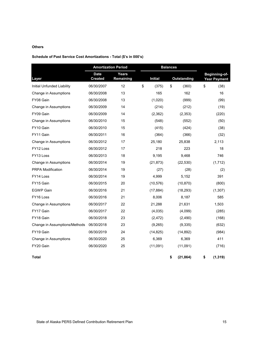#### **Others**

#### **Schedule of Past Service Cost Amortizations - Total (\$'s in 000's)**

|                               |                               | <b>Amortization Period</b> |                | <b>Balances</b> |                    |                                      |
|-------------------------------|-------------------------------|----------------------------|----------------|-----------------|--------------------|--------------------------------------|
| Layer                         | <b>Date</b><br><b>Created</b> | Years<br>Remaining         | <b>Initial</b> |                 | <b>Outstanding</b> | Beginning-of-<br><b>Year Payment</b> |
| Initial Unfunded Liability    | 06/30/2007                    | 12                         | \$<br>(375)    | \$              | (360)              | \$<br>(38)                           |
| Change in Assumptions         | 06/30/2008                    | 13                         | 165            |                 | 162                | 16                                   |
| FY08 Gain                     | 06/30/2008                    | 13                         | (1,020)        |                 | (999)              | (99)                                 |
| Change in Assumptions         | 06/30/2009                    | 14                         | (214)          |                 | (212)              | (19)                                 |
| FY09 Gain                     | 06/30/2009                    | 14                         | (2,362)        |                 | (2,353)            | (220)                                |
| Change in Assumptions         | 06/30/2010                    | 15                         | (548)          |                 | (552)              | (50)                                 |
| FY10 Gain                     | 06/30/2010                    | 15                         | (415)          |                 | (424)              | (38)                                 |
| FY11 Gain                     | 06/30/2011                    | 16                         | (364)          |                 | (366)              | (32)                                 |
| Change in Assumptions         | 06/30/2012                    | 17                         | 25,180         |                 | 25,838             | 2,113                                |
| FY12 Loss                     | 06/30/2012                    | 17                         | 218            |                 | 223                | 18                                   |
| FY13 Loss                     | 06/30/2013                    | 18                         | 9,195          |                 | 9,468              | 746                                  |
| Change in Assumptions         | 06/30/2014                    | 19                         | (21, 873)      |                 | (22, 530)          | (1,712)                              |
| PRPA Modification             | 06/30/2014                    | 19                         | (27)           |                 | (28)               | (2)                                  |
| FY14 Loss                     | 06/30/2014                    | 19                         | 4,999          |                 | 5,152              | 391                                  |
| FY15 Gain                     | 06/30/2015                    | 20                         | (10, 576)      |                 | (10, 870)          | (800)                                |
| <b>EGWP Gain</b>              | 06/30/2016                    | 21                         | (17, 884)      |                 | (18, 293)          | (1,307)                              |
| FY16 Loss                     | 06/30/2016                    | 21                         | 8,006          |                 | 8,187              | 585                                  |
| Change in Assumptions         | 06/30/2017                    | 22                         | 21,288         |                 | 21,631             | 1,503                                |
| FY17 Gain                     | 06/30/2017                    | 22                         | (4,035)        |                 | (4,099)            | (285)                                |
| FY18 Gain                     | 06/30/2018                    | 23                         | (2, 472)       |                 | (2,490)            | (168)                                |
| Change in Assumptions/Methods | 06/30/2018                    | 23                         | (9,265)        |                 | (9,335)            | (632)                                |
| FY19 Gain                     | 06/30/2019                    | 24                         | (14, 825)      |                 | (14, 892)          | (984)                                |
| Change in Assumptions         | 06/30/2020                    | 25                         | 6,369          |                 | 6,369              | 411                                  |
| FY20 Gain                     | 06/30/2020                    | 25                         | (11,091)       |                 | (11,091)           | (716)                                |
| Total                         |                               |                            |                | \$              | (21, 864)          | \$<br>(1, 319)                       |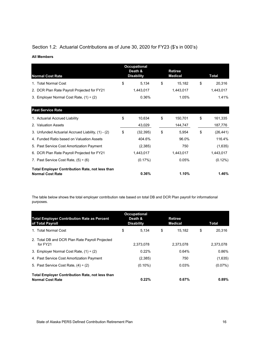## Section 1.2: Actuarial Contributions as of June 30, 2020 for FY23 (\$'s in 000's)

#### **All Members**

| <b>Normal Cost Rate</b>                                                           |    | <b>Occupational</b><br>Death &<br><b>Disability</b> | <b>Retiree</b><br><b>Medical</b> | Total     |    |            |
|-----------------------------------------------------------------------------------|----|-----------------------------------------------------|----------------------------------|-----------|----|------------|
| 1. Total Normal Cost                                                              | \$ | 5,134                                               | \$                               | 15,182    | \$ | 20,316     |
| 2. DCR Plan Rate Payroll Projected for FY21                                       |    | 1,443,017                                           |                                  | 1,443,017 |    | 1,443,017  |
| 3. Employer Normal Cost Rate, $(1) \div (2)$                                      |    | 0.36%                                               |                                  | 1.05%     |    | 1.41%      |
| <b>Past Service Rate</b>                                                          |    |                                                     |                                  |           |    |            |
| 1. Actuarial Accrued Liability                                                    | \$ | 10,634                                              | \$                               | 150,701   | \$ | 161,335    |
| 2. Valuation Assets                                                               |    | 43,029                                              |                                  | 144,747   |    | 187,776    |
| 3. Unfunded Actuarial Accrued Liability, (1) - (2)                                | \$ | (32, 395)                                           | \$                               | 5,954     | \$ | (26, 441)  |
| 4. Funded Ratio based on Valuation Assets                                         |    | 404.6%                                              |                                  | 96.0%     |    | 116.4%     |
| 5. Past Service Cost Amortization Payment                                         |    | (2,385)                                             |                                  | 750       |    | (1,635)    |
| 6. DCR Plan Rate Payroll Projected for FY21                                       |    | 1,443,017                                           |                                  | 1,443,017 |    | 1,443,017  |
| 7. Past Service Cost Rate, $(5) \div (6)$                                         |    | $(0.17\%)$                                          |                                  | 0.05%     |    | $(0.12\%)$ |
| <b>Total Employer Contribution Rate, not less than</b><br><b>Normal Cost Rate</b> |    | 0.36%                                               |                                  | 1.10%     |    | 1.46%      |

The table below shows the total employer contribution rate based on total DB and DCR Plan payroll for informational purposes.

| <b>Total Employer Contribution Rate as Percent</b><br>of Total Payroll            | <b>Occupational</b><br>Death &<br><b>Disability</b> | <b>Retiree</b><br><b>Medical</b> |              | Total      |
|-----------------------------------------------------------------------------------|-----------------------------------------------------|----------------------------------|--------------|------------|
| 1. Total Normal Cost                                                              | \$<br>5.134                                         | \$                               | \$<br>15.182 | 20.316     |
| 2. Total DB and DCR Plan Rate Payroll Projected<br>for FY21                       | 2,373,078                                           | 2,373,078                        |              | 2,373,078  |
| 3. Employer Normal Cost Rate, $(1) \div (2)$                                      | 0.22%                                               |                                  | 0.64%        | 0.86%      |
| 4. Past Service Cost Amortization Payment                                         | (2,385)                                             |                                  | 750          | (1,635)    |
| 5. Past Service Cost Rate, $(4) \div (2)$                                         | $(0.10\%)$                                          |                                  | 0.03%        | $(0.07\%)$ |
| <b>Total Employer Contribution Rate, not less than</b><br><b>Normal Cost Rate</b> | 0.22%                                               |                                  | 0.67%        | 0.89%      |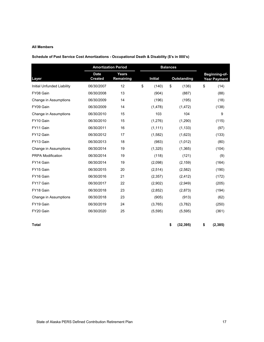#### **All Members**

**Schedule of Past Service Cost Amortizations - Occupational Death & Disability (\$'s in 000's)**

|                            |                               | <b>Amortization Period</b> |    |                |    | <b>Balances</b>    |    |                                      |  |
|----------------------------|-------------------------------|----------------------------|----|----------------|----|--------------------|----|--------------------------------------|--|
| Layer                      | <b>Date</b><br><b>Created</b> | <b>Years</b><br>Remaining  |    | <b>Initial</b> |    | <b>Outstanding</b> |    | Beginning-of-<br><b>Year Payment</b> |  |
| Initial Unfunded Liability | 06/30/2007                    | 12                         | \$ | (140)          | \$ | (136)              | \$ | (14)                                 |  |
| FY08 Gain                  | 06/30/2008                    | 13                         |    | (904)          |    | (887)              |    | (88)                                 |  |
| Change in Assumptions      | 06/30/2009                    | 14                         |    | (196)          |    | (195)              |    | (18)                                 |  |
| FY09 Gain                  | 06/30/2009                    | 14                         |    | (1, 478)       |    | (1, 472)           |    | (138)                                |  |
| Change in Assumptions      | 06/30/2010                    | 15                         |    | 103            |    | 104                |    | 9                                    |  |
| FY10 Gain                  | 06/30/2010                    | 15                         |    | (1,276)        |    | (1, 290)           |    | (115)                                |  |
| FY11 Gain                  | 06/30/2011                    | 16                         |    | (1, 111)       |    | (1, 133)           |    | (97)                                 |  |
| FY12 Gain                  | 06/30/2012                    | 17                         |    | (1,582)        |    | (1,623)            |    | (133)                                |  |
| FY13 Gain                  | 06/30/2013                    | 18                         |    | (983)          |    | (1,012)            |    | (80)                                 |  |
| Change in Assumptions      | 06/30/2014                    | 19                         |    | (1, 325)       |    | (1,365)            |    | (104)                                |  |
| <b>PRPA Modification</b>   | 06/30/2014                    | 19                         |    | (118)          |    | (121)              |    | (9)                                  |  |
| FY14 Gain                  | 06/30/2014                    | 19                         |    | (2,098)        |    | (2, 159)           |    | (164)                                |  |
| FY15 Gain                  | 06/30/2015                    | 20                         |    | (2, 514)       |    | (2,582)            |    | (190)                                |  |
| FY16 Gain                  | 06/30/2016                    | 21                         |    | (2,357)        |    | (2, 412)           |    | (172)                                |  |
| FY17 Gain                  | 06/30/2017                    | 22                         |    | (2,902)        |    | (2,949)            |    | (205)                                |  |
| FY18 Gain                  | 06/30/2018                    | 23                         |    | (2,852)        |    | (2,873)            |    | (194)                                |  |
| Change in Assumptions      | 06/30/2018                    | 23                         |    | (905)          |    | (913)              |    | (62)                                 |  |
| FY19 Gain                  | 06/30/2019                    | 24                         |    | (3,765)        |    | (3,782)            |    | (250)                                |  |
| FY20 Gain                  | 06/30/2020                    | 25                         |    | (5,595)        |    | (5, 595)           |    | (361)                                |  |
| Total                      |                               |                            |    |                | \$ | (32, 395)          | \$ | (2, 385)                             |  |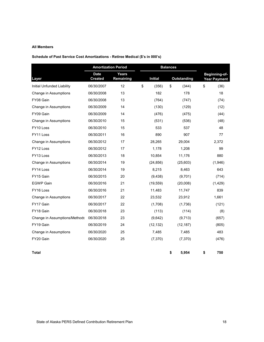#### **All Members**

#### **Schedule of Past Service Cost Amortizations - Retiree Medical (\$'s in 000's)**

|                               |                               | <b>Amortization Period</b> | <b>Balances</b> |                    |                                      |
|-------------------------------|-------------------------------|----------------------------|-----------------|--------------------|--------------------------------------|
| Layer                         | <b>Date</b><br><b>Created</b> | <b>Years</b><br>Remaining  | <b>Initial</b>  | <b>Outstanding</b> | Beginning-of-<br><b>Year Payment</b> |
| Initial Unfunded Liability    | 06/30/2007                    | 12                         | \$<br>(356)     | \$<br>(344)        | \$<br>(36)                           |
| Change in Assumptions         | 06/30/2008                    | 13                         | 182             | 178                | 18                                   |
| FY08 Gain                     | 06/30/2008                    | 13                         | (764)           | (747)              | (74)                                 |
| Change in Assumptions         | 06/30/2009                    | 14                         | (130)           | (129)              | (12)                                 |
| FY09 Gain                     | 06/30/2009                    | 14                         | (476)           | (475)              | (44)                                 |
| Change in Assumptions         | 06/30/2010                    | 15                         | (531)           | (536)              | (48)                                 |
| FY <sub>10</sub> Loss         | 06/30/2010                    | 15                         | 533             | 537                | 48                                   |
| FY11 Loss                     | 06/30/2011                    | 16                         | 890             | 907                | 77                                   |
| Change in Assumptions         | 06/30/2012                    | 17                         | 28,265          | 29,004             | 2,372                                |
| FY <sub>12</sub> Loss         | 06/30/2012                    | 17                         | 1,178           | 1,208              | 99                                   |
| FY13 Loss                     | 06/30/2013                    | 18                         | 10,854          | 11,176             | 880                                  |
| Change in Assumptions         | 06/30/2014                    | 19                         | (24, 856)       | (25,603)           | (1,946)                              |
| FY14 Loss                     | 06/30/2014                    | 19                         | 8,215           | 8,463              | 643                                  |
| FY15 Gain                     | 06/30/2015                    | 20                         | (9, 438)        | (9,701)            | (714)                                |
| <b>EGWP Gain</b>              | 06/30/2016                    | 21                         | (19, 559)       | (20,008)           | (1,429)                              |
| FY16 Loss                     | 06/30/2016                    | 21                         | 11,483          | 11,747             | 839                                  |
| Change in Assumptions         | 06/30/2017                    | 22                         | 23,532          | 23,912             | 1,661                                |
| FY17 Gain                     | 06/30/2017                    | 22                         | (1,708)         | (1,736)            | (121)                                |
| FY18 Gain                     | 06/30/2018                    | 23                         | (113)           | (114)              | (8)                                  |
| Change in Assumptions/Methods | 06/30/2018                    | 23                         | (9,642)         | (9,713)            | (657)                                |
| FY19 Gain                     | 06/30/2019                    | 24                         | (12, 132)       | (12, 187)          | (805)                                |
| Change in Assumptions         | 06/30/2020                    | 25                         | 7,485           | 7,485              | 483                                  |
| FY20 Gain                     | 06/30/2020                    | 25                         | (7, 370)        | (7, 370)           | (476)                                |
| <b>Total</b>                  |                               |                            |                 | \$<br>5,954        | \$<br>750                            |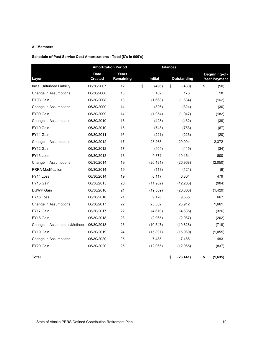#### **All Members**

#### **Schedule of Past Service Cost Amortizations - Total (\$'s in 000's)**

|                               |                        | <b>Amortization Period</b> | <b>Balances</b> |                |                 |    |                                      |
|-------------------------------|------------------------|----------------------------|-----------------|----------------|-----------------|----|--------------------------------------|
| Layer                         | <b>Date</b><br>Created | Years<br>Remaining         |                 | <b>Initial</b> | Outstanding     |    | Beginning-of-<br><b>Year Payment</b> |
| Initial Unfunded Liability    | 06/30/2007             | 12                         | \$              | (496)          | \$<br>(480)     | \$ | (50)                                 |
| Change in Assumptions         | 06/30/2008             | 13                         |                 | 182            | 178             |    | 18                                   |
| FY08 Gain                     | 06/30/2008             | 13                         |                 | (1,668)        | (1,634)         |    | (162)                                |
| Change in Assumptions         | 06/30/2009             | 14                         |                 | (326)          | (324)           |    | (30)                                 |
| FY09 Gain                     | 06/30/2009             | 14                         |                 | (1,954)        | (1,947)         |    | (182)                                |
| Change in Assumptions         | 06/30/2010             | 15                         |                 | (428)          | (432)           |    | (39)                                 |
| FY10 Gain                     | 06/30/2010             | 15                         |                 | (743)          | (753)           |    | (67)                                 |
| FY11 Gain                     | 06/30/2011             | 16                         |                 | (221)          | (226)           |    | (20)                                 |
| Change in Assumptions         | 06/30/2012             | 17                         |                 | 28,265         | 29,004          |    | 2,372                                |
| FY12 Gain                     | 06/30/2012             | 17                         |                 | (404)          | (415)           |    | (34)                                 |
| FY13 Loss                     | 06/30/2013             | 18                         |                 | 9,871          | 10,164          |    | 800                                  |
| Change in Assumptions         | 06/30/2014             | 19                         |                 | (26, 181)      | (26,968)        |    | (2,050)                              |
| PRPA Modification             | 06/30/2014             | 19                         |                 | (118)          | (121)           |    | (9)                                  |
| FY14 Loss                     | 06/30/2014             | 19                         |                 | 6,117          | 6,304           |    | 479                                  |
| FY15 Gain                     | 06/30/2015             | 20                         |                 | (11, 952)      | (12, 283)       |    | (904)                                |
| <b>EGWP Gain</b>              | 06/30/2016             | 21                         |                 | (19, 559)      | (20,008)        |    | (1,429)                              |
| FY16 Loss                     | 06/30/2016             | 21                         |                 | 9,126          | 9,335           |    | 667                                  |
| Change in Assumptions         | 06/30/2017             | 22                         |                 | 23,532         | 23,912          |    | 1,661                                |
| FY17 Gain                     | 06/30/2017             | 22                         |                 | (4,610)        | (4,685)         |    | (326)                                |
| FY18 Gain                     | 06/30/2018             | 23                         |                 | (2,965)        | (2,987)         |    | (202)                                |
| Change in Assumptions/Methods | 06/30/2018             | 23                         |                 | (10, 547)      | (10,626)        |    | (719)                                |
| FY19 Gain                     | 06/30/2019             | 24                         |                 | (15, 897)      | (15,969)        |    | (1,055)                              |
| Change in Assumptions         | 06/30/2020             | 25                         |                 | 7,485          | 7,485           |    | 483                                  |
| FY20 Gain                     | 06/30/2020             | 25                         |                 | (12, 965)      | (12, 965)       |    | (837)                                |
| Total                         |                        |                            |                 |                | \$<br>(26, 441) | \$ | (1,635)                              |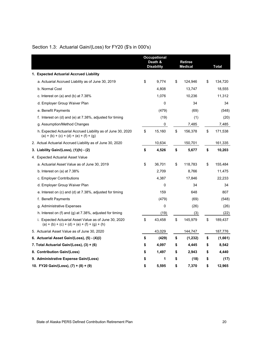|                                                                                                          | <b>Occupational</b><br>Death &<br><b>Disability</b> |        | <b>Retiree</b><br><b>Medical</b> | <b>Total</b>  |
|----------------------------------------------------------------------------------------------------------|-----------------------------------------------------|--------|----------------------------------|---------------|
| 1. Expected Actuarial Accrued Liability                                                                  |                                                     |        |                                  |               |
| a. Actuarial Accrued Liability as of June 30, 2019                                                       | \$                                                  | 9,774  | \$<br>124,946                    | \$<br>134,720 |
| b. Normal Cost                                                                                           |                                                     | 4,808  | 13,747                           | 18,555        |
| c. Interest on (a) and (b) at $7.38\%$                                                                   |                                                     | 1,076  | 10,236                           | 11,312        |
| d. Employer Group Waiver Plan                                                                            |                                                     | 0      | 34                               | 34            |
| e. Benefit Payments                                                                                      |                                                     | (479)  | (69)                             | (548)         |
| f. Interest on (d) and (e) at $7.38\%$ , adjusted for timing                                             |                                                     | (19)   | (1)                              | (20)          |
| g. Assumption/Method Changes                                                                             |                                                     | 0      | 7,485                            | 7,485         |
| h. Expected Actuarial Accrued Liability as of June 30, 2020<br>$(a) + (b) + (c) + (d) + (e) + (f) + (g)$ | \$                                                  | 15,160 | \$<br>156,378                    | \$<br>171,538 |
| 2. Actual Actuarial Accrued Liability as of June 30, 2020                                                |                                                     | 10,634 | 150,701                          | 161,335       |
| 3. Liability Gain/(Loss), (1)(h) - (2)                                                                   | \$                                                  | 4,526  | \$<br>5,677                      | \$<br>10,203  |
| 4. Expected Actuarial Asset Value                                                                        |                                                     |        |                                  |               |
| a. Actuarial Asset Value as of June 30, 2019                                                             | \$                                                  | 36,701 | \$<br>118,783                    | \$<br>155,484 |
| b. Interest on (a) at $7.38\%$                                                                           |                                                     | 2,709  | 8,766                            | 11,475        |
| c. Employer Contributions                                                                                |                                                     | 4,387  | 17,846                           | 22,233        |
| d. Employer Group Waiver Plan                                                                            |                                                     | 0      | 34                               | 34            |
| e. Interest on (c) and (d) at 7.38%, adjusted for timing                                                 |                                                     | 159    | 648                              | 807           |
| f. Benefit Payments                                                                                      |                                                     | (479)  | (69)                             | (548)         |
| g. Administrative Expenses                                                                               |                                                     | 0      | (26)                             | (26)          |
| h. Interest on (f) and (g) at $7.38\%$ , adjusted for timing                                             |                                                     | (19)   | (3)                              | (22)          |
| i. Expected Actuarial Asset Value as of June 30, 2020<br>$(a) + (b) + (c) + (d) + (e) + (f) + (g) + (h)$ | \$                                                  | 43,458 | \$<br>145,979                    | \$<br>189,437 |
| 5. Actuarial Asset Value as of June 30, 2020                                                             |                                                     | 43,029 | 144,747                          | 187,776       |
| 6. Actuarial Asset Gain/(Loss), (5) - (4)(i)                                                             | \$                                                  | (429)  | \$<br>(1,232)                    | \$<br>(1,661) |
| 7. Total Actuarial Gain/(Loss), (3) + (6)                                                                | \$                                                  | 4,097  | \$<br>4,445                      | \$<br>8,542   |
| 8. Contribution Gain/(Loss)                                                                              | \$                                                  | 1,497  | \$<br>2,943                      | \$<br>4,440   |
| 9. Administrative Expense Gain/(Loss)                                                                    | \$                                                  | 1      | \$<br>(18)                       | \$<br>(17)    |
| 10. FY20 Gain/(Loss), (7) + (8) + (9)                                                                    | \$                                                  | 5,595  | \$<br>7,370                      | \$<br>12,965  |

## Section 1.3: Actuarial Gain/(Loss) for FY20 (\$'s in 000's)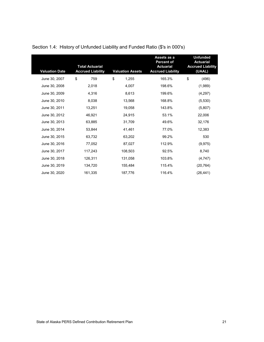| <b>Valuation Date</b> | <b>Total Actuarial</b><br><b>Accrued Liability</b> | <b>Valuation Assets</b> | Assets as a<br><b>Percent of</b><br><b>Actuarial</b><br><b>Accrued Liability</b> | <b>Unfunded</b><br><b>Actuarial</b><br><b>Accrued Liability</b><br>(UAAL) |
|-----------------------|----------------------------------------------------|-------------------------|----------------------------------------------------------------------------------|---------------------------------------------------------------------------|
| June 30, 2007         | \$<br>759                                          | \$<br>1,255             | 165.3%                                                                           | \$<br>(496)                                                               |
| June 30, 2008         | 2,018                                              | 4,007                   | 198.6%                                                                           | (1,989)                                                                   |
| June 30, 2009         | 4,316                                              | 8,613                   | 199.6%                                                                           | (4,297)                                                                   |
| June 30, 2010         | 8,038                                              | 13,568                  | 168.8%                                                                           | (5,530)                                                                   |
| June 30, 2011         | 13,251                                             | 19,058                  | 143.8%                                                                           | (5,807)                                                                   |
| June 30, 2012         | 46,921                                             | 24,915                  | 53.1%                                                                            | 22,006                                                                    |
| June 30, 2013         | 63,885                                             | 31,709                  | 49.6%                                                                            | 32,176                                                                    |
| June 30, 2014         | 53,844                                             | 41,461                  | 77.0%                                                                            | 12,383                                                                    |
| June 30, 2015         | 63,732                                             | 63,202                  | 99.2%                                                                            | 530                                                                       |
| June 30, 2016         | 77,052                                             | 87,027                  | 112.9%                                                                           | (9, 975)                                                                  |
| June 30, 2017         | 117,243                                            | 108,503                 | 92.5%                                                                            | 8,740                                                                     |
| June 30, 2018         | 126,311                                            | 131,058                 | 103.8%                                                                           | (4,747)                                                                   |
| June 30, 2019         | 134,720                                            | 155,484                 | 115.4%                                                                           | (20, 764)                                                                 |
| June 30, 2020         | 161,335                                            | 187,776                 | 116.4%                                                                           | (26,441)                                                                  |

## Section 1.4: History of Unfunded Liability and Funded Ratio (\$'s in 000's)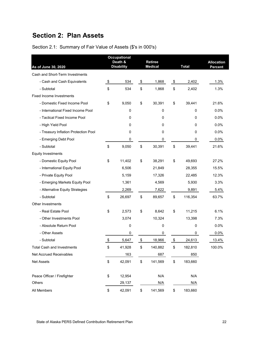# **Section 2: Plan Assets**

| As of June 30, 2020                  | <b>Occupational</b><br>Death &<br><b>Disability</b> | <b>Retiree</b><br><b>Medical</b> | <b>Total</b>  | <b>Allocation</b><br>Percent |
|--------------------------------------|-----------------------------------------------------|----------------------------------|---------------|------------------------------|
| Cash and Short-Term Investments      |                                                     |                                  |               |                              |
| - Cash and Cash Equivalents          | \$<br>534                                           | \$<br>1,868                      | \$<br>2,402   | 1.3%                         |
| - Subtotal                           | \$<br>534                                           | \$<br>1,868                      | \$<br>2,402   | 1.3%                         |
| <b>Fixed Income Investments</b>      |                                                     |                                  |               |                              |
| - Domestic Fixed Income Pool         | \$<br>9,050                                         | \$<br>30,391                     | \$<br>39,441  | 21.6%                        |
| - International Fixed Income Pool    | 0                                                   | 0                                | 0             | 0.0%                         |
| - Tactical Fixed Income Pool         | 0                                                   | 0                                | 0             | 0.0%                         |
| - High Yield Pool                    | 0                                                   | 0                                | 0             | 0.0%                         |
| - Treasury Inflation Protection Pool | 0                                                   | 0                                | 0             | 0.0%                         |
| - Emerging Debt Pool                 | 0                                                   | 0                                | 0             | 0.0%                         |
| - Subtotal                           | \$<br>9,050                                         | \$<br>30,391                     | \$<br>39,441  | 21.6%                        |
| <b>Equity Investments</b>            |                                                     |                                  |               |                              |
| - Domestic Equity Pool               | \$<br>11,402                                        | \$<br>38,291                     | \$<br>49,693  | 27.2%                        |
| - International Equity Pool          | 6,506                                               | 21,849                           | 28,355        | 15.5%                        |
| - Private Equity Pool                | 5,159                                               | 17,326                           | 22,485        | 12.3%                        |
| - Emerging Markets Equity Pool       | 1,361                                               | 4,569                            | 5,930         | 3.3%                         |
| - Alternative Equity Strategies      | 2,269                                               | 7,622                            | 9,891         | 5.4%                         |
| - Subtotal                           | \$<br>26,697                                        | \$<br>89,657                     | \$<br>116,354 | 63.7%                        |
| Other Investments                    |                                                     |                                  |               |                              |
| - Real Estate Pool                   | \$<br>2,573                                         | \$<br>8,642                      | \$<br>11,215  | 6.1%                         |
| - Other Investments Pool             | 3,074                                               | 10,324                           | 13,398        | 7.3%                         |
| - Absolute Return Pool               | 0                                                   | 0                                | 0             | 0.0%                         |
| - Other Assets                       | 0                                                   | 0                                | 0             | 0.0%                         |
| - Subtotal                           | \$<br>5,647                                         | \$<br>18,966                     | \$<br>24,613  | 13.4%                        |
| <b>Total Cash and Investments</b>    | \$<br>41,928                                        | \$<br>140,882                    | \$<br>182,810 | 100.0%                       |
| Net Accrued Receivables              | 163                                                 | 687                              | 850           |                              |
| Net Assets                           | \$<br>42,091                                        | \$<br>141,569                    | \$<br>183,660 |                              |
| Peace Officer / Firefighter          | \$<br>12,954                                        | N/A                              | N/A           |                              |
| Others                               | 29,137                                              | N/A                              | N/A           |                              |
| All Members                          | \$<br>42,091                                        | \$<br>141,569                    | \$<br>183,660 |                              |

## Section 2.1: Summary of Fair Value of Assets (\$'s in 000's)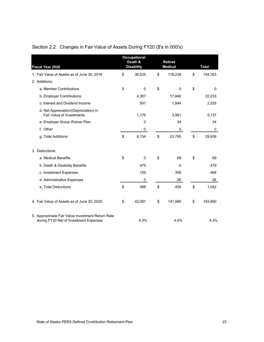| <b>Fiscal Year 2020</b>                                                                    | <b>Occupational</b><br>Death &<br><b>Disability</b> | <b>Retiree</b><br><b>Medical</b> | <b>Total</b> |         |  |
|--------------------------------------------------------------------------------------------|-----------------------------------------------------|----------------------------------|--------------|---------|--|
| 1. Fair Value of Assets as of June 30, 2019                                                | \$<br>36,525                                        | \$<br>118,238                    | \$           | 154,763 |  |
| 2. Additions:                                                                              |                                                     |                                  |              |         |  |
| a. Member Contributions                                                                    | \$<br>$\mathbf 0$                                   | \$<br>$\mathbf 0$                | \$           | 0       |  |
| b. Employer Contributions                                                                  | 4,387                                               | 17,846                           |              | 22,233  |  |
| c. Interest and Dividend Income                                                            | 591                                                 | 1,944                            |              | 2,535   |  |
| d. Net Appreciation/(Depreciation) in<br><b>Fair Value of Investments</b>                  | 1,176                                               | 3,961                            |              | 5,137   |  |
| e. Employer Group Waiver Plan                                                              | 0                                                   | 34                               |              | 34      |  |
| f. Other                                                                                   | 0                                                   | 0                                |              | 0       |  |
| g. Total Additions                                                                         | \$<br>6,154                                         | \$<br>23,785                     | \$           | 29,939  |  |
| 3. Deductions:                                                                             |                                                     |                                  |              |         |  |
| a. Medical Benefits                                                                        | \$<br>0                                             | \$<br>69                         | \$           | 69      |  |
| b. Death & Disability Benefits                                                             | 479                                                 | $\Omega$                         |              | 479     |  |
| c. Investment Expenses                                                                     | 109                                                 | 359                              |              | 468     |  |
| d. Administrative Expenses                                                                 | 0                                                   | 26                               |              | 26      |  |
| e. Total Deductions                                                                        | \$<br>588                                           | \$<br>454                        | \$           | 1,042   |  |
| 4. Fair Value of Assets as of June 30, 2020                                                | \$<br>42,091                                        | \$<br>141,569                    | \$           | 183,660 |  |
| 5. Approximate Fair Value Investment Return Rate<br>during FY20 Net of Investment Expenses | 4.3%                                                | 4.4%                             |              | 4.3%    |  |

## Section 2.2: Changes in Fair Value of Assets During FY20 (\$'s in 000's)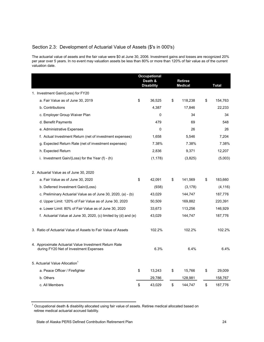#### Section 2.3: Development of Actuarial Value of Assets (\$'s in 000's)

The actuarial value of assets and the fair value were \$0 at June 30, 2006. Investment gains and losses are recognized 20% per year over 5 years. In no event may valuation assets be less than 80% or more than 120% of fair value as of the current valuation date.

|                                                                                                 | <b>Occupational</b><br>Death &<br><b>Disability</b> | <b>Retiree</b><br><b>Medical</b> | <b>Total</b>  |
|-------------------------------------------------------------------------------------------------|-----------------------------------------------------|----------------------------------|---------------|
| 1. Investment Gain/(Loss) for FY20                                                              |                                                     |                                  |               |
| a. Fair Value as of June 30, 2019                                                               | \$<br>36,525                                        | \$<br>118,238                    | \$<br>154,763 |
| b. Contributions                                                                                | 4,387                                               | 17,846                           | 22,233        |
| c. Employer Group Waiver Plan                                                                   | 0                                                   | 34                               | 34            |
| d. Benefit Payments                                                                             | 479                                                 | 69                               | 548           |
| e. Administrative Expenses                                                                      | 0                                                   | 26                               | 26            |
| f. Actual Investment Return (net of investment expenses)                                        | 1,658                                               | 5,546                            | 7,204         |
| g. Expected Return Rate (net of investment expenses)                                            | 7.38%                                               | 7.38%                            | 7.38%         |
| h. Expected Return                                                                              | 2,836                                               | 9,371                            | 12,207        |
| i. Investment Gain/(Loss) for the Year $(f)$ - $(h)$                                            | (1, 178)                                            | (3,825)                          | (5,003)       |
| 2. Actuarial Value as of June 30, 2020                                                          |                                                     |                                  |               |
| a. Fair Value as of June 30, 2020                                                               | \$<br>42,091                                        | \$<br>141,569                    | \$<br>183,660 |
| b. Deferred Investment Gain/(Loss)                                                              | (938)                                               | (3, 178)                         | (4, 116)      |
| c. Preliminary Actuarial Value as of June 30, 2020, (a) - (b)                                   | 43,029                                              | 144,747                          | 187,776       |
| d. Upper Limit: 120% of Fair Value as of June 30, 2020                                          | 50,509                                              | 169,882                          | 220,391       |
| e. Lower Limit: 80% of Fair Value as of June 30, 2020                                           | 33,673                                              | 113,256                          | 146,929       |
| f. Actuarial Value at June 30, 2020, (c) limited by (d) and (e)                                 | 43,029                                              | 144,747                          | 187,776       |
| 3. Ratio of Actuarial Value of Assets to Fair Value of Assets                                   | 102.2%                                              | 102.2%                           | 102.2%        |
| 4. Approximate Actuarial Value Investment Return Rate<br>during FY20 Net of Investment Expenses | 6.3%                                                | 6.4%                             | 6.4%          |
| 5. Actuarial Value Allocation <sup>1</sup>                                                      |                                                     |                                  |               |
| a. Peace Officer / Firefighter                                                                  | \$<br>13,243                                        | \$<br>15,766                     | \$<br>29,009  |
| b. Others                                                                                       | 29,786                                              | 128,981                          | 158,767       |
| c. All Members                                                                                  | \$<br>43,029                                        | \$<br>144,747                    | \$<br>187,776 |

 $^{\rm 1}$  Occupational death & disability allocated using fair value of assets. Retiree medical allocated based on retiree medical actuarial accrued liability.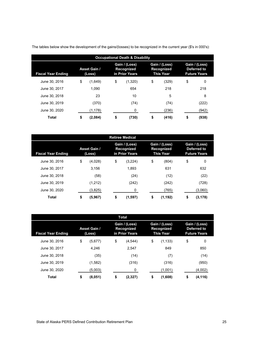| <b>Occupational Death &amp; Disability</b> |    |                               |    |                                               |    |                                                 |                                                     |       |  |  |  |
|--------------------------------------------|----|-------------------------------|----|-----------------------------------------------|----|-------------------------------------------------|-----------------------------------------------------|-------|--|--|--|
| <b>Fiscal Year Ending</b>                  |    | <b>Asset Gain /</b><br>(Loss) |    | Gain / (Loss)<br>Recognized<br>in Prior Years |    | Gain / (Loss)<br>Recognized<br><b>This Year</b> | Gain / (Loss)<br>Deferred to<br><b>Future Years</b> |       |  |  |  |
| June 30, 2016                              | \$ | (1,649)                       | \$ | (1,320)                                       | \$ | (329)                                           | \$                                                  | 0     |  |  |  |
| June 30, 2017                              |    | 1.090                         |    | 654                                           |    | 218                                             |                                                     | 218   |  |  |  |
| June 30, 2018                              |    | 23                            |    | 10                                            |    | 5                                               |                                                     | 8     |  |  |  |
| June 30, 2019                              |    | (370)                         |    | (74)                                          |    | (74)                                            |                                                     | (222) |  |  |  |
| June 30, 2020                              |    | (1, 178)                      |    | 0                                             |    | (236)                                           |                                                     | (942) |  |  |  |
| Total                                      | \$ | (2,084)                       | \$ | (730)                                         | \$ | (416)                                           | \$                                                  | (938) |  |  |  |

The tables below show the development of the gains/(losses) to be recognized in the current year (\$'s in 000's):

| <b>Retiree Medical</b>    |                               |         |    |                                               |    |                                                 |                                                     |          |  |  |
|---------------------------|-------------------------------|---------|----|-----------------------------------------------|----|-------------------------------------------------|-----------------------------------------------------|----------|--|--|
| <b>Fiscal Year Ending</b> | <b>Asset Gain /</b><br>(Loss) |         |    | Gain / (Loss)<br>Recognized<br>in Prior Years |    | Gain / (Loss)<br>Recognized<br><b>This Year</b> | Gain / (Loss)<br>Deferred to<br><b>Future Years</b> |          |  |  |
| June 30, 2016             | \$                            | (4,028) | \$ | (3,224)                                       | \$ | (804)                                           | \$                                                  | 0        |  |  |
| June 30, 2017             |                               | 3.156   |    | 1.893                                         |    | 631                                             |                                                     | 632      |  |  |
| June 30, 2018             |                               | (58)    |    | (24)                                          |    | (12)                                            |                                                     | (22)     |  |  |
| June 30, 2019             |                               | (1,212) |    | (242)                                         |    | (242)                                           |                                                     | (728)    |  |  |
| June 30, 2020             |                               | (3,825) |    | 0                                             |    | (765)                                           |                                                     | (3,060)  |  |  |
| <b>Total</b>              | \$                            | (5,967) | \$ | (1,597)                                       | \$ | (1, 192)                                        | \$                                                  | (3, 178) |  |  |

| Total                     |                               |         |    |                                                      |    |                                                        |    |                                                     |  |  |
|---------------------------|-------------------------------|---------|----|------------------------------------------------------|----|--------------------------------------------------------|----|-----------------------------------------------------|--|--|
| <b>Fiscal Year Ending</b> | <b>Asset Gain /</b><br>(Loss) |         |    | Gain / (Loss)<br><b>Recognized</b><br>in Prior Years |    | Gain / (Loss)<br><b>Recognized</b><br><b>This Year</b> |    | Gain / (Loss)<br>Deferred to<br><b>Future Years</b> |  |  |
| June 30, 2016             | \$                            | (5,677) | \$ | (4,544)                                              | \$ | (1, 133)                                               | \$ | 0                                                   |  |  |
| June 30, 2017             |                               | 4.246   |    | 2.547                                                |    | 849                                                    |    | 850                                                 |  |  |
| June 30, 2018             |                               | (35)    |    | (14)                                                 |    | (7)                                                    |    | (14)                                                |  |  |
| June 30, 2019             |                               | (1,582) |    | (316)                                                |    | (316)                                                  |    | (950)                                               |  |  |
| June 30, 2020             |                               | (5,003) |    | 0                                                    |    | (1,001)                                                |    | (4,002)                                             |  |  |
| Total                     | \$                            | (8,051) | \$ | (2,327)                                              | \$ | (1,608)                                                | \$ | (4, 116)                                            |  |  |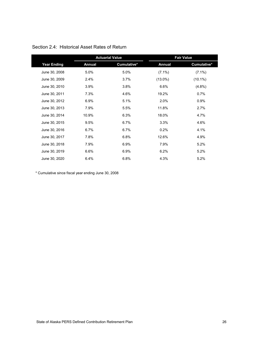|                    |               | <b>Actuarial Value</b> |               | <b>Fair Value</b> |
|--------------------|---------------|------------------------|---------------|-------------------|
| <b>Year Ending</b> | <b>Annual</b> | Cumulative*            | <b>Annual</b> | Cumulative*       |
| June 30, 2008      | 5.0%          | 5.0%                   | $(7.1\%)$     | $(7.1\%)$         |
| June 30, 2009      | 2.4%          | 3.7%                   | $(13.0\%)$    | $(10.1\%)$        |
| June 30, 2010      | 3.9%          | 3.8%                   | 6.6%          | $(4.8\%)$         |
| June 30, 2011      | 7.3%          | 4.6%                   | 19.2%         | 0.7%              |
| June 30, 2012      | 6.9%          | 5.1%                   | 2.0%          | 0.9%              |
| June 30, 2013      | 7.9%          | 5.5%                   | 11.8%         | 2.7%              |
| June 30, 2014      | 10.9%         | 6.3%                   | 18.0%         | 4.7%              |
| June 30, 2015      | 9.5%          | 6.7%                   | 3.3%          | 4.6%              |
| June 30, 2016      | 6.7%          | 6.7%                   | 0.2%          | 4.1%              |
| June 30, 2017      | 7.8%          | 6.8%                   | 12.6%         | 4.9%              |
| June 30, 2018      | 7.9%          | 6.9%                   | 7.9%          | 5.2%              |
| June 30, 2019      | 6.6%          | 6.9%                   | 6.2%          | 5.2%              |
| June 30, 2020      | 6.4%          | 6.8%                   | 4.3%          | 5.2%              |

## Section 2.4: Historical Asset Rates of Return

\* Cumulative since fiscal year ending June 30, 2008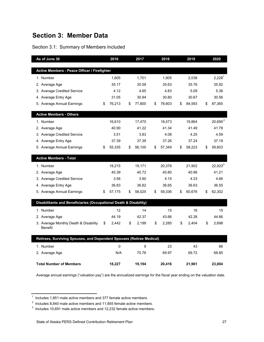## **Section 3: Member Data**

## Section 3.1: Summary of Members Included

| As of June 30                                                        | 2016         | 2017         | 2018         | 2019         | 2020         |
|----------------------------------------------------------------------|--------------|--------------|--------------|--------------|--------------|
|                                                                      |              |              |              |              |              |
| Active Members - Peace Officer / Firefighter                         |              |              |              |              |              |
| 1. Number                                                            | 1,605        | 1,701        | 1,905        | 2,038        | $2,228^1$    |
| 2. Average Age                                                       | 35.17        | 35.59        | 35.63        | 35.76        | 35.92        |
| 3. Average Credited Service                                          | 4.12         | 4.65         | 4.83         | 5.09         | 5.36         |
| 4. Average Entry Age                                                 | 31.05        | 30.94        | 30.80        | 30.67        | 30.56        |
| 5. Average Annual Earnings                                           | \$<br>76,213 | \$<br>77,800 | \$<br>78,603 | \$<br>84,593 | \$<br>87,365 |
| <b>Active Members - Others</b>                                       |              |              |              |              |              |
| 1. Number                                                            | 16,610       | 17,470       | 18,473       | 19.864       | $20,695^2$   |
| 2. Average Age                                                       | 40.90        | 41.22        | 41.34        | 41.49        | 41.78        |
| 3. Average Credited Service                                          | 3.51         | 3.83         | 4.08         | 4.25         | 4.59         |
| 4. Average Entry Age                                                 | 37.39        | 37.39        | 37.26        | 37.24        | 37.19        |
| 5. Average Annual Earnings                                           | \$<br>55,335 | \$<br>56,100 | \$<br>57,349 | \$<br>58,223 | \$<br>59,603 |
| <b>Active Members - Total</b>                                        |              |              |              |              |              |
| 1. Number                                                            | 18,215       | 19,171       | 20,378       | 21,902       | $22,923^3$   |
| 2. Average Age                                                       | 40.39        | 40.72        | 40.80        | 40.96        | 41.21        |
| 3. Average Credited Service                                          | 3.56         | 3.90         | 4.15         | 4.33         | 4.66         |
| 4. Average Entry Age                                                 | 36.83        | 36.82        | 36.65        | 36.63        | 36.55        |
| 5. Average Annual Earnings                                           | \$<br>57,175 | \$<br>58,025 | \$<br>59,336 | \$<br>60,676 | \$<br>62,302 |
| Disabilitants and Beneficiaries (Occupational Death & Disability)    |              |              |              |              |              |
| 1. Number                                                            | 12           | 14           | 15           | 16           | 15           |
| 2. Average Age                                                       | 44.19        | 42.37        | 43.66        | 42.28        | 44.66        |
| 3. Average Monthly Death & Disability<br><b>Benefit</b>              | \$<br>2,442  | \$<br>2,199  | \$<br>2,285  | \$<br>2,404  | \$<br>2,698  |
| Retirees, Surviving Spouses, and Dependent Spouses (Retiree Medical) |              |              |              |              |              |
| 1. Number                                                            | 0            | 9            | 23           | 43           | 66           |
| 2. Average Age                                                       | N/A          | 70.76        | 69.97        | 69.72        | 68.85        |
| <b>Total Number of Members</b>                                       | 18,227       | 19,194       | 20,416       | 21,961       | 23,004       |

Average annual earnings ("valuation pay") are the annualized earnings for the fiscal year ending on the valuation date.

 $1$  Includes 1,851 male active members and 377 female active members.

 $^{\rm 2}$  Includes 8,840 male active members and 11,855 female active members.

 $^3$  Includes 10,691 male active members and 12,232 female active members.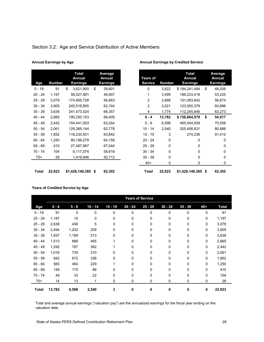| Age       | <b>Number</b> | Total<br>Annual<br>Earnings | Average<br>Annual<br><b>Earnings</b> | <b>Years of</b><br><b>Service</b> | <b>Number</b> |
|-----------|---------------|-----------------------------|--------------------------------------|-----------------------------------|---------------|
| $0 - 19$  | 91            | \$<br>3,621,900             | \$<br>39,801                         | 0                                 | 3,822         |
| $20 - 24$ | 1,197         | 56,027,881                  | 46,807                               | 1                                 | 3,499         |
| $25 - 29$ | 3,079         | 174,465,728                 | 56,663                               | 2                                 | 2,666         |
| $30 - 34$ | 3,905         | 245,016,855                 | 62,744                               | 3                                 | 2,021         |
| $35 - 39$ | 3,639         | 241,473,524                 | 66,357                               | 4                                 | 1,774         |
| $40 - 44$ | 2,865         | 190,250,153                 | 66,405                               | $0 - 4$                           | 13,782        |
| $45 - 49$ | 2,442         | 154,441,003                 | 63,244                               | $5 - 9$                           | 6,598         |
| $50 - 54$ | 2,061         | 129,385,144                 | 62,778                               | $10 - 14$                         | 2,540         |
| $55 - 59$ | 1,852         | 118,234,931                 | 63,842                               | $15 - 19$                         | 3             |
| $60 - 64$ | 1,250         | 80,198,279                  | 64,159                               | $20 - 24$                         | 0             |
| $65 - 69$ | 410           | 27,487,967                  | 67,044                               | $25 - 29$                         | 0             |
| $70 - 74$ | 104           | 6,117,074                   | 58,818                               | $30 - 34$                         | 0             |
| $75+$     | 28            | 1,419,946                   | 50,712                               | $35 - 39$                         | 0             |
|           |               |                             |                                      | $40+$                             | 0             |

#### Section 3.2: Age and Service Distribution of Active Members

#### **Annual Earnings by Age Annual Earnings by Credited Service**

| Age       | <b>Number</b> | <b>Total</b><br>Annual<br><b>Earnings</b> | <b>Average</b><br>Annual<br><b>Earnings</b> | <b>Years of</b><br><b>Service</b> | <b>Number</b> | <b>Total</b><br>Annual<br><b>Earnings</b> |    | Average<br>Annual<br><b>Earnings</b> |
|-----------|---------------|-------------------------------------------|---------------------------------------------|-----------------------------------|---------------|-------------------------------------------|----|--------------------------------------|
| 0 - 19    | 91            | \$<br>3,621,900                           | \$<br>39,801                                | 0                                 | 3,822         | \$184,241,494                             | \$ |                                      |
| $20 - 24$ | 1,197         | 56,027,881                                | 46,807                                      |                                   | 3,499         | 186,233,418                               |    |                                      |
| 25 - 29   | 3,079         | 174,465,728                               | 56,663                                      | 2                                 | 2,666         | 151,093,642                               |    |                                      |
| 10 - 34   | 3,905         | 245,016,855                               | 62,744                                      | 3                                 | 2,021         | 123,050,379                               |    |                                      |
| 15 - 39   | 3,639         | 241,473,524                               | 66,357                                      | 4                                 | 1,774         | 112,245,646                               |    |                                      |
| 44 - 0ا   | 2,865         | 190,250,153                               | 66,405                                      | $0 - 4$                           | 13,782        | \$756,864,579                             | \$ |                                      |
| 49 - 49   | 2,442         | 154,441,003                               | 63,244                                      | $5 - 9$                           | 6,598         | 465,544,939                               |    |                                      |
| 50 - 54   | 2,061         | 129,385,144                               | 62,778                                      | $10 - 14$                         | 2,540         | 205,456,631                               |    |                                      |
| 55 - 59   | 1,852         | 118,234,931                               | 63,842                                      | $15 - 19$                         | 3             | 274,236                                   |    |                                      |
| ነ0 - 64   | 1,250         | 80,198,279                                | 64,159                                      | $20 - 24$                         | 0             | 0                                         |    |                                      |
| 55 - 69   | 410           | 27,487,967                                | 67,044                                      | $25 - 29$                         | 0             | 0                                         |    |                                      |
| 0 - 74    | 104           | 6,117,074                                 | 58,818                                      | $30 - 34$                         | 0             | 0                                         |    |                                      |
| $75+$     | 28            | 1,419,946                                 | 50,712                                      | $35 - 39$                         | 0             | 0                                         |    |                                      |
|           |               |                                           |                                             | $40+$                             | 0             | 0                                         |    |                                      |
| Total     | 22,923        | $$1,428,140,385$ \$                       | 62,302                                      | <b>Total</b>                      | 22,923        | $$1,428,140,385$ \$                       |    |                                      |

#### **Years of Credited Service by Age**

|              | <b>Years of Service</b> |         |           |             |             |           |              |             |             |              |
|--------------|-------------------------|---------|-----------|-------------|-------------|-----------|--------------|-------------|-------------|--------------|
| Age          | $0 - 4$                 | $5 - 9$ | $10 - 14$ | $15 - 19$   | $20 - 24$   | $25 - 29$ | $30 - 34$    | $35 - 39$   | $40+$       | <b>Total</b> |
| $0 - 19$     | 91                      | 0       | 0         | $\mathbf 0$ | 0           | 0         | 0            | $\mathbf 0$ | $\Omega$    | 91           |
| $20 - 24$    | 1,187                   | 10      | 0         | 0           | $\mathbf 0$ | 0         | 0            | 0           | $\mathbf 0$ | 1,197        |
| $25 - 29$    | 2,638                   | 436     | 5         | 0           | $\mathbf 0$ | 0         | 0            | 0           | $\mathbf 0$ | 3,079        |
| $30 - 34$    | 2,494                   | 1,202   | 209       | $\Omega$    | $\mathbf 0$ | 0         | $\mathbf{0}$ | 0           | $\Omega$    | 3,905        |
| $35 - 39$    | 1,937                   | 1,189   | 513       | 0           | 0           | 0         | 0            | 0           | $\Omega$    | 3,639        |
| $40 - 44$    | 1,513                   | 886     | 465       |             | $\Omega$    | $\Omega$  | $\Omega$     | 0           | $\Omega$    | 2,865        |
| $45 - 49$    | 1,292                   | 787     | 362       |             | $\Omega$    | 0         | 0            | 0           | $\Omega$    | 2,442        |
| $50 - 54$    | 1,016                   | 735     | 310       | 0           | 0           | 0         | $\mathbf{0}$ | 0           | $\mathbf 0$ | 2,061        |
| $55 - 59$    | 842                     | 672     | 338       | 0           | $\mathbf 0$ | 0         | 0            | 0           | 0           | 1,852        |
| $60 - 64$    | 560                     | 460     | 229       |             | 0           | 0         | 0            | 0           | $\mathbf 0$ | 1,250        |
| $65 - 69$    | 149                     | 175     | 86        | 0           | 0           | $\Omega$  | $\mathbf{0}$ | 0           | $\Omega$    | 410          |
| $70 - 74$    | 49                      | 33      | 22        | $\Omega$    | 0           | 0         | $\mathbf{0}$ | 0           | $\Omega$    | 104          |
| $75+$        | 14                      | 13      | 1         | 0           | 0           | 0         | 0            | 0           | 0           | 28           |
| <b>Total</b> | 13,782                  | 6,598   | 2,540     | 3           | 0           | 0         | 0            | 0           | 0           | 22,923       |

Total and average annual earnings ("valuation pay") are the annualized earnings for the fiscal year ending on the valuation date.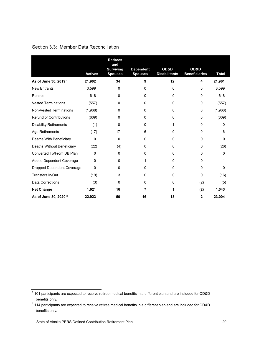|  |  |  | Section 3.3: Member Data Reconciliation |
|--|--|--|-----------------------------------------|
|--|--|--|-----------------------------------------|

|                                   | <b>Actives</b> | <b>Retirees</b><br>and<br><b>Surviving</b><br><b>Spouses</b> | <b>Dependent</b><br><b>Spouses</b> | OD&D<br><b>Disabilitants</b> | OD&D<br><b>Beneficiaries</b> | <b>Total</b> |
|-----------------------------------|----------------|--------------------------------------------------------------|------------------------------------|------------------------------|------------------------------|--------------|
| As of June 30, 2019 <sup>1</sup>  | 21,902         | 34                                                           | 9                                  | 12                           | 4                            | 21,961       |
| <b>New Entrants</b>               | 3,599          | 0                                                            | 0                                  | 0                            | 0                            | 3,599        |
| <b>Rehires</b>                    | 618            | 0                                                            | 0                                  | 0                            | 0                            | 618          |
| <b>Vested Terminations</b>        | (557)          | 0                                                            | 0                                  | 0                            | 0                            | (557)        |
| <b>Non-Vested Terminations</b>    | (1,968)        | 0                                                            | 0                                  | 0                            | 0                            | (1,968)      |
| <b>Refund of Contributions</b>    | (609)          | 0                                                            | 0                                  | 0                            | 0                            | (609)        |
| <b>Disability Retirements</b>     | (1)            | 0                                                            | 0                                  | 1                            | 0                            | 0            |
| Age Retirements                   | (17)           | 17                                                           | 6                                  | $\Omega$                     | 0                            | 6            |
| Deaths With Beneficiary           | 0              | 0                                                            | 0                                  | 0                            | 0                            | 0            |
| Deaths Without Beneficiary        | (22)           | (4)                                                          | 0                                  | $\Omega$                     | 0                            | (26)         |
| Converted To/From DB Plan         | 0              | 0                                                            | 0                                  | 0                            | 0                            | 0            |
| <b>Added Dependent Coverage</b>   | 0              | 0                                                            |                                    | 0                            | 0                            | 1            |
| <b>Dropped Dependent Coverage</b> | 0              | 0                                                            | 0                                  | 0                            | 0                            | 0            |
| Transfers In/Out                  | (19)           | 3                                                            | 0                                  | 0                            | 0                            | (16)         |
| <b>Data Corrections</b>           | (3)            | 0                                                            | 0                                  | 0                            | (2)                          | (5)          |
| <b>Net Change</b>                 | 1,021          | 16                                                           | 7                                  | 1                            | (2)                          | 1,043        |
| As of June 30, 2020 <sup>2</sup>  | 22,923         | 50                                                           | 16                                 | 13                           | 2                            | 23,004       |

 $^{\rm 1}$  101 participants are expected to receive retiree medical benefits in a different plan and are included for OD&D benefits only.

 $^2$  114 participants are expected to receive retiree medical benefits in a different plan and are included for OD&D benefits only.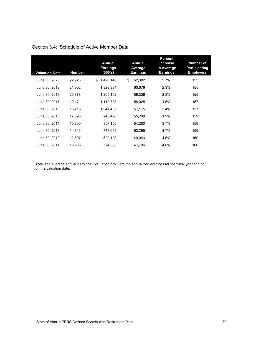| <b>Valuation Date</b> | <b>Number</b> | <b>Annual</b><br><b>Earnings</b><br>(000's) | <b>Annual</b><br>Average<br><b>Earnings</b> | <b>Percent</b><br><b>Increase</b><br>in Average<br>Earnings | <b>Number of</b><br><b>Participating</b><br><b>Employers</b> |
|-----------------------|---------------|---------------------------------------------|---------------------------------------------|-------------------------------------------------------------|--------------------------------------------------------------|
| June 30, 2020         | 22,923        | 1,428,140<br>\$                             | \$<br>62,302                                | 2.7%                                                        | 153                                                          |
| June 30, 2019         | 21,902        | 1,328,934                                   | 60,676                                      | 2.3%                                                        | 155                                                          |
| June 30, 2018         | 20,378        | 1,209,152                                   | 59,336                                      | 2.3%                                                        | 155                                                          |
| June 30, 2017         | 19,171        | 1,112,398                                   | 58,025                                      | 1.5%                                                        | 157                                                          |
| June 30, 2016         | 18,215        | 1,041,437                                   | 57,175                                      | 3.4%                                                        | 157                                                          |
| June 30, 2015         | 17,098        | 945,496                                     | 55,299                                      | 1.9%                                                        | 159                                                          |
| June 30, 2014         | 15,800        | 857,150                                     | 54,250                                      | 3.7%                                                        | 159                                                          |
| June 30, 2013         | 14,316        | 748,658                                     | 52,295                                      | 4.7%                                                        | 159                                                          |
| June 30, 2012         | 12,597        | 629,128                                     | 49,943                                      | 4.5%                                                        | 160                                                          |
| June 30, 2011         | 10,965        | 524,088                                     | 47,796                                      | 4.8%                                                        | 160                                                          |

## Section 3.4: Schedule of Active Member Data

Total and average annual earnings ("valuation pay") are the annualized earnings for the fiscal year ending on the valuation date.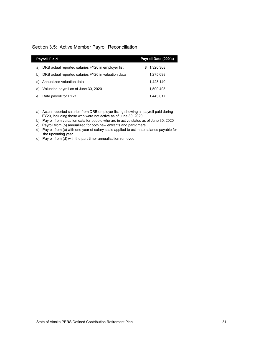#### Section 3.5: Active Member Payroll Reconciliation

I

| <b>Payroll Field</b>                                      | Payroll Data (000's) |
|-----------------------------------------------------------|----------------------|
| DRB actual reported salaries FY20 in employer list<br>a)  | 1,320,368<br>S       |
| DRB actual reported salaries FY20 in valuation data<br>b) | 1.275.698            |
| Annualized valuation data<br>C)                           | 1.428.140            |
| Valuation payroll as of June 30, 2020<br>d)               | 1.500.403            |
| Rate payroll for FY21<br>e)                               | 1.443.017            |
|                                                           |                      |

a) Actual reported salaries from DRB employer listing showing all payroll paid during FY20, including those who were not active as of June 30, 2020

b) Payroll from valuation data for people who are in active status as of June 30, 2020

c) Payroll from (b) annualized for both new entrants and part-timers

d) Payroll from (c) with one year of salary scale applied to estimate salaries payable for the upcoming year

e) Payroll from (d) with the part-timer annualization removed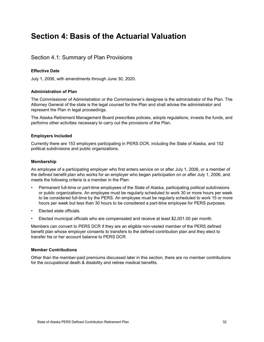# **Section 4: Basis of the Actuarial Valuation**

## Section 4.1: Summary of Plan Provisions

#### **Effective Date**

July 1, 2006, with amendments through June 30, 2020.

#### **Administration of Plan**

The Commissioner of Administration or the Commissioner's designee is the administrator of the Plan. The Attorney General of the state is the legal counsel for the Plan and shall advise the administrator and represent the Plan in legal proceedings.

The Alaska Retirement Management Board prescribes policies, adopts regulations, invests the funds, and performs other activities necessary to carry out the provisions of the Plan.

#### **Employers Included**

Currently there are 153 employers participating in PERS DCR, including the State of Alaska, and 152 political subdivisions and public organizations.

#### **Membership**

An employee of a participating employer who first enters service on or after July 1, 2006, or a member of the defined benefit plan who works for an employer who began participation on or after July 1, 2006, and meets the following criteria is a member in the Plan:

- Permanent full-time or part-time employees of the State of Alaska, participating political subdivisions or public organizations. An employee must be regularly scheduled to work 30 or more hours per week to be considered full-time by the PERS. An employee must be regularly scheduled to work 15 or more hours per week but less than 30 hours to be considered a part-time employee for PERS purposes.
- Elected state officials.
- Elected municipal officials who are compensated and receive at least \$2,001.00 per month.

Members can convert to PERS DCR if they are an eligible non-vested member of the PERS defined benefit plan whose employer consents to transfers to the defined contribution plan and they elect to transfer his or her account balance to PERS DCR.

#### **Member Contributions**

Other than the member-paid premiums discussed later in this section, there are no member contributions for the occupational death & disability and retiree medical benefits.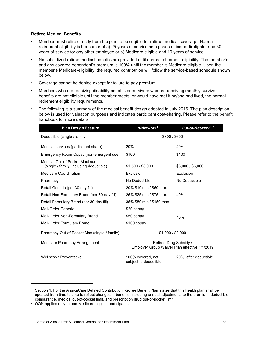#### **Retiree Medical Benefits**

- Member must retire directly from the plan to be eligible for retiree medical coverage. Normal retirement eligibility is the earlier of a) 25 years of service as a peace officer or firefighter and 30 years of service for any other employee or b) Medicare eligible and 10 years of service.
- No subsidized retiree medical benefits are provided until normal retirement eligibility. The member's and any covered dependent's premium is 100% until the member is Medicare eligible. Upon the member's Medicare-eligibility, the required contribution will follow the service-based schedule shown below.
- Coverage cannot be denied except for failure to pay premium.
- Members who are receiving disability benefits or survivors who are receiving monthly survivor benefits are not eligible until the member meets, or would have met if he/she had lived, the normal retirement eligibility requirements.
- The following is a summary of the medical benefit design adopted in July 2016. The plan description below is used for valuation purposes and indicates participant cost-sharing. Please refer to the benefit handbook for more details.

| <b>Plan Design Feature</b>                                               | In-Network <sup>1</sup><br>Out-of-Network <sup>12</sup>                 |                   |  |  |  |  |
|--------------------------------------------------------------------------|-------------------------------------------------------------------------|-------------------|--|--|--|--|
| Deductible (single / family)                                             | \$300 / \$600                                                           |                   |  |  |  |  |
| Medical services (participant share)                                     | 20%                                                                     | 40%               |  |  |  |  |
| Emergency Room Copay (non-emergent use)                                  | \$100                                                                   | \$100             |  |  |  |  |
| Medical Out-of-Pocket Maximum<br>(single / family, including deductible) | \$1,500 / \$3,000                                                       | \$3,000 / \$6,000 |  |  |  |  |
| <b>Medicare Coordination</b>                                             | Exclusion                                                               | Exclusion         |  |  |  |  |
| Pharmacy                                                                 | No Deductible                                                           | No Deductible     |  |  |  |  |
| Retail Generic (per 30-day fill)                                         | 20% \$10 min / \$50 max                                                 |                   |  |  |  |  |
| Retail Non-Formulary Brand (per 30-day fill)                             | 25% \$25 min / \$75 max                                                 | 40%               |  |  |  |  |
| Retail Formulary Brand (per 30-day fill)                                 | 35% \$80 min / \$150 max                                                |                   |  |  |  |  |
| Mail-Order Generic                                                       | \$20 copay                                                              |                   |  |  |  |  |
| Mail-Order Non-Formulary Brand                                           | \$50 copay                                                              | 40%               |  |  |  |  |
| Mail-Order Formulary Brand                                               | $$100$ copay                                                            |                   |  |  |  |  |
| Pharmacy Out-of-Pocket Max (single / family)                             | \$1,000 / \$2,000                                                       |                   |  |  |  |  |
| Medicare Pharmacy Arrangement                                            | Retiree Drug Subsidy /<br>Employer Group Waiver Plan effective 1/1/2019 |                   |  |  |  |  |
| Wellness / Preventative                                                  | 100% covered, not<br>20%, after deductible<br>subject to deductible     |                   |  |  |  |  |

-

<span id="page-37-0"></span> $1$  Section 1.1 of the AlaskaCare Defined Contribution Retiree Benefit Plan states that this health plan shall be updated from time to time to reflect changes in benefits, including annual adjustments to the premium, deductible, coinsurance, medical out-of-pocket limit, and prescription drug out-of-pocket limit.

<span id="page-37-1"></span><sup>2</sup> OON applies only to non-Medicare eligible participants.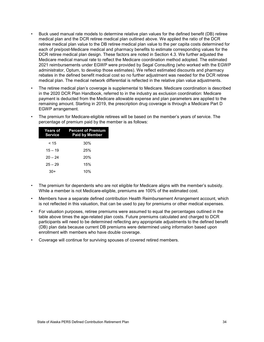- Buck used manual rate models to determine relative plan values for the defined benefit (DB) retiree medical plan and the DCR retiree medical plan outlined above. We applied the ratio of the DCR retiree medical plan value to the DB retiree medical plan value to the per capita costs determined for each of pre/post-Medicare medical and pharmacy benefits to estimate corresponding values for the DCR retiree medical plan design. These factors are noted in Section 4.3. We further adjusted the Medicare medical manual rate to reflect the Medicare coordination method adopted. The estimated 2021 reimbursements under EGWP were provided by Segal Consulting (who worked with the EGWP administrator, Optum, to develop those estimates). We reflect estimated discounts and pharmacy rebates in the defined benefit medical cost so no further adjustment was needed for the DCR retiree medical plan. The medical network differential is reflected in the relative plan value adjustments.
- The retiree medical plan's coverage is supplemental to Medicare. Medicare coordination is described in the 2020 DCR Plan Handbook, referred to in the industry as exclusion coordination: Medicare payment is deducted from the Medicare allowable expense and plan parameters are applied to the remaining amount. Starting in 2019, the prescription drug coverage is through a Medicare Part D EGWP arrangement.
- The premium for Medicare-eligible retirees will be based on the member's years of service. The percentage of premium paid by the member is as follows:

| Years of<br><b>Service</b> | <b>Percent of Premium</b><br><b>Paid by Member</b> |
|----------------------------|----------------------------------------------------|
| < 15                       | 30%                                                |
| $15 - 19$                  | 25%                                                |
| $20 - 24$                  | 20%                                                |
| $25 - 29$                  | 15%                                                |
| $30+$                      | 10%                                                |

- The premium for dependents who are not eligible for Medicare aligns with the member's subsidy. While a member is not Medicare-eligible, premiums are 100% of the estimated cost.
- Members have a separate defined contribution Health Reimbursement Arrangement account, which is not reflected in this valuation, that can be used to pay for premiums or other medical expenses.
- For valuation purposes, retiree premiums were assumed to equal the percentages outlined in the table above times the age-related plan costs. Future premiums calculated and charged to DCR participants will need to be determined reflecting any appropriate adjustments to the defined benefit (DB) plan data because current DB premiums were determined using information based upon enrollment with members who have double coverage.
- Coverage will continue for surviving spouses of covered retired members.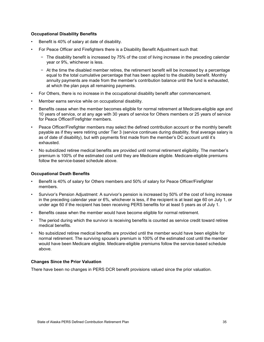#### **Occupational Disability Benefits**

- Benefit is 40% of salary at date of disability.
- For Peace Officer and Firefighters there is a Disability Benefit Adjustment such that:
	- − The disability benefit is increased by 75% of the cost of living increase in the preceding calendar year or 9%, whichever is less.
	- − At the time the disabled member retires, the retirement benefit will be increased by a percentage equal to the total cumulative percentage that has been applied to the disability benefit. Monthly annuity payments are made from the member's contribution balance until the fund is exhausted, at which the plan pays all remaining payments.
- For Others, there is no increase in the occupational disability benefit after commencement.
- Member earns service while on occupational disability.
- Benefits cease when the member becomes eligible for normal retirement at Medicare-eligible age and 10 years of service, or at any age with 30 years of service for Others members or 25 years of service for Peace Officer/Firefighter members.
- Peace Officer/Firefighter members may select the defined contribution account or the monthly benefit payable as if they were retiring under Tier 3 (service continues during disability, final average salary is as of date of disability), but with payments first made from the member's DC account until it's exhausted.
- No subsidized retiree medical benefits are provided until normal retirement eligibility. The member's premium is 100% of the estimated cost until they are Medicare eligible. Medicare-eligible premiums follow the service-based schedule above.

#### **Occupational Death Benefits**

- Benefit is 40% of salary for Others members and 50% of salary for Peace Officer/Firefighter members.
- Survivor's Pension Adjustment: A survivor's pension is increased by 50% of the cost of living increase in the preceding calendar year or 6%, whichever is less, if the recipient is at least age 60 on July 1, or under age 60 if the recipient has been receiving PERS benefits for at least 5 years as of July 1.
- Benefits cease when the member would have become eligible for normal retirement.
- The period during which the survivor is receiving benefits is counted as service credit toward retiree medical benefits.
- No subsidized retiree medical benefits are provided until the member would have been eligible for normal retirement. The surviving spouse's premium is 100% of the estimated cost until the member would have been Medicare eligible. Medicare-eligible premiums follow the service-based schedule above.

#### **Changes Since the Prior Valuation**

There have been no changes in PERS DCR benefit provisions valued since the prior valuation.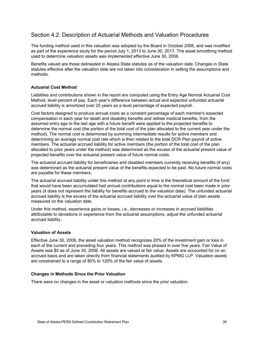## Section 4.2: Description of Actuarial Methods and Valuation Procedures

The funding method used in this valuation was adopted by the Board in October 2006, and was modified as part of the experience study for the period July 1, 2013 to June 30, 2017. The asset smoothing method used to determine valuation assets was implemented effective June 30, 2006.

Benefits valued are those delineated in Alaska State statutes as of the valuation date. Changes in State statutes effective after the valuation date are not taken into consideration in setting the assumptions and methods.

#### **Actuarial Cost Method**

Liabilities and contributions shown in the report are computed using the Entry Age Normal Actuarial Cost Method, level percent of pay. Each year's difference between actual and expected unfunded actuarial accrued liability is amortized over 25 years as a level percentage of expected payroll.

Cost factors designed to produce annual costs as a constant percentage of each member's expected compensation in each year for death and disability benefits and retiree medical benefits, from the assumed entry age to the last age with a future benefit were applied to the projected benefits to determine the normal cost (the portion of the total cost of the plan allocated to the current year under the method). The normal cost is determined by summing intermediate results for active members and determining an average normal cost rate which is then related to the total DCR Plan payroll of active members. The actuarial accrued liability for active members (the portion of the total cost of the plan allocated to prior years under the method) was determined as the excess of the actuarial present value of projected benefits over the actuarial present value of future normal costs.

The actuarial accrued liability for beneficiaries and disabled members currently receiving benefits (if any) was determined as the actuarial present value of the benefits expected to be paid. No future normal costs are payable for these members.

The actuarial accrued liability under this method at any point in time is the theoretical amount of the fund that would have been accumulated had annual contributions equal to the normal cost been made in prior years (it does not represent the liability for benefits accrued to the valuation date). The unfunded actuarial accrued liability is the excess of the actuarial accrued liability over the actuarial value of plan assets measured on the valuation date.

Under this method, experience gains or losses, i.e., decreases or increases in accrued liabilities attributable to deviations in experience from the actuarial assumptions, adjust the unfunded actuarial accrued liability.

#### **Valuation of Assets**

Effective June 30, 2006, the asset valuation method recognizes 20% of the investment gain or loss in each of the current and preceding four years. This method was phased in over five years. Fair Value of Assets was \$0 as of June 30, 2006. All assets are valued at fair value. Assets are accounted for on an accrued basis and are taken directly from financial statements audited by KPMG LLP. Valuation assets are constrained to a range of 80% to 120% of the fair value of assets.

#### **Changes in Methods Since the Prior Valuation**

There were no changes in the asset or valuation methods since the prior valuation.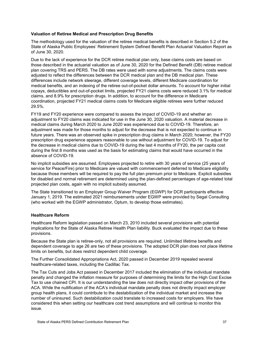#### **Valuation of Retiree Medical and Prescription Drug Benefits**

The methodology used for the valuation of the retiree medical benefits is described in Section 5.2 of the State of Alaska Public Employees' Retirement System Defined Benefit Plan Actuarial Valuation Report as of June 30, 2020.

Due to the lack of experience for the DCR retiree medical plan only, base claims costs are based on those described in the actuarial valuation as of June 30, 2020 for the Defined Benefit (DB) retiree medical plan covering TRS and PERS. The DB rates were used with some adjustments. The claims costs were adjusted to reflect the differences between the DCR medical plan and the DB medical plan. These differences include network steerage, different coverage levels, different Medicare coordination for medical benefits, and an indexing of the retiree out-of-pocket dollar amounts. To account for higher initial copays, deductibles and out-of-pocket limits, projected FY21 claims costs were reduced 3.1% for medical claims, and 8.9% for prescription drugs. In addition, to account for the difference in Medicare coordination, projected FY21 medical claims costs for Medicare eligible retirees were further reduced 29.5%.

FY19 and FY20 experience were compared to assess the impact of COVID-19 and whether an adjustment to FY20 claims was indicated for use in the June 30, 2020 valuation. A material decrease in medical claims during March 2020 to June 2020 was experienced due to COVID-19. Therefore, an adjustment was made for those months to adjust for the decrease that is not expected to continue in future years. There was an observed spike in prescription drug claims in March 2020; however, the FY20 prescription drug experience appears reasonable to use without adjustment for COVID-19. To adjust for the decrease in medical claims due to COVID-19 during the last 4 months of FY20, the per capita cost during the first 8 months was used as the basis for estimating claims that would have occurred in the absence of COVID-19.

No implicit subsidies are assumed. Employees projected to retire with 30 years of service (25 years of service for Peace/Fire) prior to Medicare are valued with commencement deferred to Medicare eligibility because those members will be required to pay the full plan premium prior to Medicare. Explicit subsidies for disabled and normal retirement are determined using the plan-defined percentages of age-related total projected plan costs, again with no implicit subsidy assumed.

The State transitioned to an Employer Group Waiver Program (EGWP) for DCR participants effective January 1, 2019. The estimated 2021 reimbursements under EGWP were provided by Segal Consulting (who worked with the EGWP administrator, Optum, to develop those estimates).

#### **Healthcare Reform**

Healthcare Reform legislation passed on March 23, 2010 included several provisions with potential implications for the State of Alaska Retiree Health Plan liability. Buck evaluated the impact due to these provisions.

Because the State plan is retiree-only, not all provisions are required. Unlimited lifetime benefits and dependent coverage to age 26 are two of these provisions. The adopted DCR plan does not place lifetime limits on benefits, but does restrict dependent child coverage.

The Further Consolidated Appropriations Act, 2020 passed in December 2019 repealed several healthcare-related taxes, including the Cadillac Tax.

The Tax Cuts and Jobs Act passed in December 2017 included the elimination of the individual mandate penalty and changed the inflation measure for purposes of determining the limits for the High Cost Excise Tax to use chained CPI. It is our understanding the law does not directly impact other provisions of the ACA. While the nullification of the ACA's individual mandate penalty does not directly impact employer group health plans, it could contribute to the destabilization of the individual market and increase the number of uninsured. Such destabilization could translate to increased costs for employers. We have considered this when setting our healthcare cost trend assumptions and will continue to monitor this issue.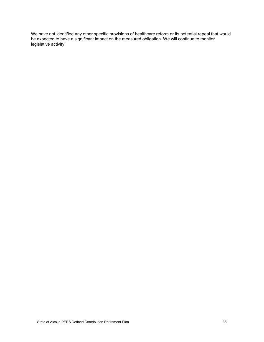We have not identified any other specific provisions of healthcare reform or its potential repeal that would be expected to have a significant impact on the measured obligation. We will continue to monitor legislative activity.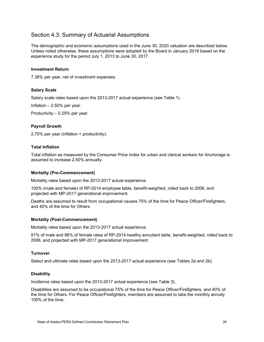## Section 4.3: Summary of Actuarial Assumptions

The demographic and economic assumptions used in the June 30, 2020 valuation are described below. Unless noted otherwise, these assumptions were adopted by the Board in January 2019 based on the experience study for the period July 1, 2013 to June 30, 2017.

#### **Investment Return**

7.38% per year, net of investment expenses.

#### **Salary Scale**

Salary scale rates based upon the 2013-2017 actual experience (see Table 1).

Inflation – 2.50% per year.

Productivity – 0.25% per year.

#### **Payroll Growth**

2.75% per year (inflation + productivity).

#### **Total Inflation**

Total inflation as measured by the Consumer Price Index for urban and clerical workers for Anchorage is assumed to increase 2.50% annually.

#### **Mortality (Pre-Commencement)**

Mortality rates based upon the 2013-2017 actual experience.

100% (male and female) of RP-2014 employee table, benefit-weighted, rolled back to 2006, and projected with MP-2017 generational improvement.

Deaths are assumed to result from occupational causes 75% of the time for Peace Officer/Firefighters, and 40% of the time for Others.

#### **Mortality (Post-Commencement)**

Mortality rates based upon the 2013-2017 actual experience.

91% of male and 96% of female rates of RP-2014 healthy annuitant table, benefit-weighted, rolled back to 2006, and projected with MP-2017 generational improvement.

#### **Turnover**

Select and ultimate rates based upon the 2013-2017 actual experience (see Tables 2a and 2b).

#### **Disability**

Incidence rates based upon the 2013-2017 actual experience (see Table 3).

Disabilities are assumed to be occupational 75% of the time for Peace Officer/Firefighters, and 40% of the time for Others. For Peace Officer/Firefighters, members are assumed to take the monthly annuity 100% of the time.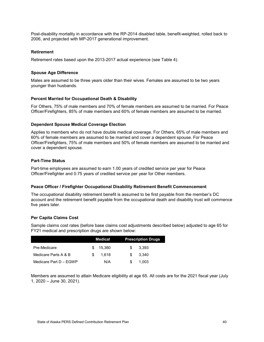Post-disability mortality in accordance with the RP-2014 disabled table, benefit-weighted, rolled back to 2006, and projected with MP-2017 generational improvement.

#### **Retirement**

Retirement rates based upon the 2013-2017 actual experience (see Table 4).

#### **Spouse Age Difference**

Males are assumed to be three years older than their wives. Females are assumed to be two years younger than husbands.

#### **Percent Married for Occupational Death & Disability**

For Others, 75% of male members and 70% of female members are assumed to be married. For Peace Officer/Firefighters, 85% of male members and 60% of female members are assumed to be married.

#### **Dependent Spouse Medical Coverage Election**

Applies to members who do not have double medical coverage. For Others, 65% of male members and 60% of female members are assumed to be married and cover a dependent spouse. For Peace Officer/Firefighters, 75% of male members and 50% of female members are assumed to be married and cover a dependent spouse.

#### **Part-Time Status**

Part-time employees are assumed to earn 1.00 years of credited service per year for Peace Officer/Firefighter and 0.75 years of credited service per year for Other members.

#### **Peace Officer / Firefighter Occupational Disability Retirement Benefit Commencement**

The occupational disability retirement benefit is assumed to be first payable from the member's DC account and the retirement benefit payable from the occupational death and disability trust will commence five years later.

#### **Per Capita Claims Cost**

Sample claims cost rates (before base claims cost adjustments described below) adjusted to age 65 for FY21 medical and prescription drugs are shown below:

|                        |     | <b>Medical</b> |     | <b>Prescription Drugs</b> |
|------------------------|-----|----------------|-----|---------------------------|
| Pre-Medicare           | \$. | 15.360         | S.  | 3.393                     |
| Medicare Parts A & B   | \$. | 1.618          | \$. | 3.340                     |
| Medicare Part D - EGWP |     | N/A            | \$. | 1.003                     |

Members are assumed to attain Medicare eligibility at age 65. All costs are for the 2021 fiscal year (July 1, 2020 – June 30, 2021).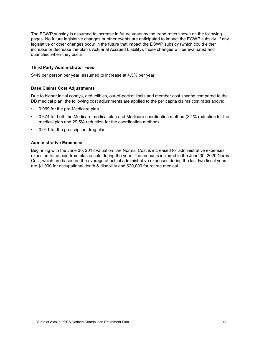The EGWP subsidy is assumed to increase in future years by the trend rates shown on the following pages. No future legislative changes or other events are anticipated to impact the EGWP subsidy. If any legislative or other changes occur in the future that impact the EGWP subsidy (which could either increase or decrease the plan's Actuarial Accrued Liability), those changes will be evaluated and quantified when they occur.

#### **Third Party Administrator Fees**

\$449 per person per year; assumed to increase at 4.5% per year.

#### **Base Claims Cost Adjustments**

Due to higher initial copays, deductibles, out-of-pocket limits and member cost sharing compared to the DB medical plan, the following cost adjustments are applied to the per capita claims cost rates above:

- 0.969 for the pre-Medicare plan.
- 0.674 for both the Medicare medical plan and Medicare coordination method (3.1% reduction for the medical plan and 29.5% reduction for the coordination method).
- 0.911 for the prescription drug plan.

#### **Administrative Expenses**

Beginning with the June 30, 2018 valuation, the Normal Cost is increased for administrative expenses expected to be paid from plan assets during the year. The amounts included in the June 30, 2020 Normal Cost, which are based on the average of actual administrative expenses during the last two fiscal years, are \$1,000 for occupational death & disability and \$20,000 for retiree medical.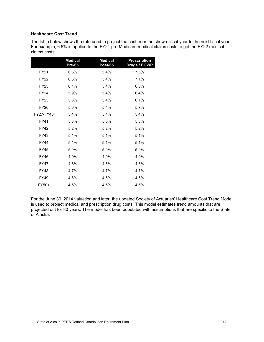#### **Healthcare Cost Trend**

The table below shows the rate used to project the cost from the shown fiscal year to the next fiscal year. For example, 6.5% is applied to the FY21 pre-Medicare medical claims costs to get the FY22 medical claims costs.

|             | <b>Medical</b><br>Pre-65 | <b>Medical</b><br><b>Post-65</b> | <b>Prescription</b><br>Drugs / EGWP |
|-------------|--------------------------|----------------------------------|-------------------------------------|
| FY21        | 6.5%                     | 5.4%                             | 7.5%                                |
| <b>FY22</b> | 6.3%                     | 5.4%                             | 7.1%                                |
| <b>FY23</b> | 6.1%                     | 5.4%                             | 6.8%                                |
| <b>FY24</b> | 5.9%                     | 5.4%                             | 6.4%                                |
| <b>FY25</b> | 5.8%                     | 5.4%                             | 6.1%                                |
| <b>FY26</b> | 5.6%                     | 5.4%                             | 5.7%                                |
| FY27-FY40   | 5.4%                     | 5.4%                             | 5.4%                                |
| <b>FY41</b> | 5.3%                     | 5.3%                             | 5.3%                                |
| FY42        | 5.2%                     | 5.2%                             | 5.2%                                |
| FY43        | 5.1%                     | 5.1%                             | 5.1%                                |
| <b>FY44</b> | 5.1%                     | 5.1%                             | 5.1%                                |
| <b>FY45</b> | 5.0%                     | 5.0%                             | 5.0%                                |
| <b>FY46</b> | 4.9%                     | 4.9%                             | 4.9%                                |
| <b>FY47</b> | 4.8%                     | 4.8%                             | 4.8%                                |
| <b>FY48</b> | 4.7%                     | 4.7%                             | 4.7%                                |
| <b>FY49</b> | 4.6%                     | 4.6%                             | 4.6%                                |
| FY50+       | 4.5%                     | 4.5%                             | 4.5%                                |

For the June 30, 2014 valuation and later, the updated Society of Actuaries' Healthcare Cost Trend Model is used to project medical and prescription drug costs. This model estimates trend amounts that are projected out for 80 years. The model has been populated with assumptions that are specific to the State of Alaska.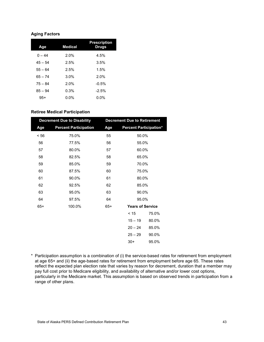#### **Aging Factors**

| Age       | <b>Medical</b> | <b>Prescription</b><br><b>Drugs</b> |
|-----------|----------------|-------------------------------------|
| $0 - 44$  | 2.0%           | 4.5%                                |
| $45 - 54$ | 2.5%           | 3.5%                                |
| $55 - 64$ | 2.5%           | 1.5%                                |
| $65 - 74$ | 3.0%           | 2.0%                                |
| $75 - 84$ | 2.0%           | $-0.5%$                             |
| $85 - 94$ | 0.3%           | $-2.5%$                             |
| $95+$     | $0.0\%$        | $0.0\%$                             |

### **Retiree Medical Participation**

| <b>Decrement Due to Disability</b> |                              |       | <b>Decrement Due to Retirement</b> |       |  |
|------------------------------------|------------------------------|-------|------------------------------------|-------|--|
| Age                                | <b>Percent Participation</b> |       | <b>Percent Participation*</b>      |       |  |
| < 56                               | 75.0%                        | 55    | 50.0%                              |       |  |
| 56                                 | 77.5%                        | 56    | 55.0%                              |       |  |
| 57                                 | 80.0%                        | 57    | 60.0%                              |       |  |
| 58                                 | 82.5%                        | 58    | 65.0%                              |       |  |
| 59                                 | 85.0%                        | 59    | 70.0%                              |       |  |
| 60                                 | 87.5%                        | 60    | 75.0%                              |       |  |
| 61                                 | 90.0%                        | 61    | 80.0%                              |       |  |
| 62                                 | 92.5%                        | 62    | 85.0%                              |       |  |
| 63                                 | 95.0%                        | 63    | 90.0%                              |       |  |
| 64                                 | 97.5%                        | 64    | 95.0%                              |       |  |
| $65+$                              | 100.0%                       | $65+$ | <b>Years of Service</b>            |       |  |
|                                    |                              |       | < 15                               | 75.0% |  |
|                                    |                              |       | $15 - 19$                          | 80.0% |  |
|                                    |                              |       | $20 - 24$                          | 85.0% |  |
|                                    |                              |       | $25 - 29$                          | 90.0% |  |
|                                    |                              |       | $30+$                              | 95.0% |  |

\* Participation assumption is a combination of (i) the service-based rates for retirement from employment at age 65+ and (ii) the age-based rates for retirement from employment before age 65. These rates reflect the expected plan election rate that varies by reason for decrement, duration that a member may pay full cost prior to Medicare eligibility, and availability of alternative and/or lower cost options, particularly in the Medicare market. This assumption is based on observed trends in participation from a range of other plans.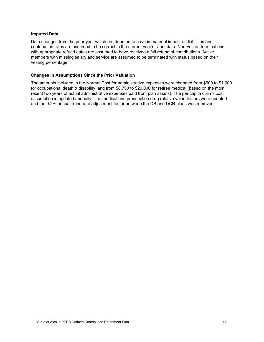#### **Imputed Data**

Data changes from the prior year which are deemed to have immaterial impact on liabilities and contribution rates are assumed to be correct in the current year's client data. Non-vested terminations with appropriate refund dates are assumed to have received a full refund of contributions. Active members with missing salary and service are assumed to be terminated with status based on their vesting percentage.

#### **Changes in Assumptions Since the Prior Valuation**

The amounts included in the Normal Cost for administrative expenses were changed from \$600 to \$1,000 for occupational death & disability, and from \$8,750 to \$20,000 for retiree medical (based on the most recent two years of actual administrative expenses paid from plan assets). The per capita claims cost assumption is updated annually. The medical and prescription drug relative value factors were updated and the 0.2% annual trend rate adjustment factor between the DB and DCR plans was removed.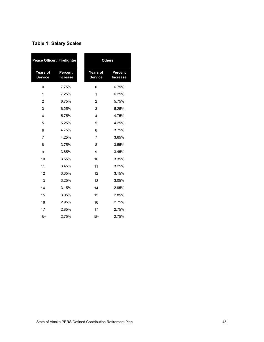| <b>Peace Officer / Firefighter</b> |                                   |                                   | <b>Others</b>                     |  |
|------------------------------------|-----------------------------------|-----------------------------------|-----------------------------------|--|
| <b>Years of</b><br><b>Service</b>  | <b>Percent</b><br><b>Increase</b> | <b>Years of</b><br><b>Service</b> | <b>Percent</b><br><b>Increase</b> |  |
| 0                                  | 7.75%                             | 0                                 | 6.75%                             |  |
| 1                                  | 7.25%                             | 1                                 | 6.25%                             |  |
| $\overline{2}$                     | 6.75%                             | $\overline{2}$                    | 5.75%                             |  |
| 3                                  | 6.25%                             | 3                                 | 5.25%                             |  |
| 4                                  | 5.75%                             | 4                                 | 4.75%                             |  |
| 5                                  | 5.25%                             | 5                                 | 4.25%                             |  |
| 6                                  | 4.75%                             | 6                                 | 3.75%                             |  |
| $\overline{7}$                     | 4.25%                             | 7                                 | 3.65%                             |  |
| 8                                  | 3.75%                             | 8                                 | 3.55%                             |  |
| 9                                  | 3.65%                             | 9                                 | 3.45%                             |  |
| 10                                 | 3.55%                             | 10                                | 3.35%                             |  |
| 11                                 | 3.45%                             | 11                                | 3.25%                             |  |
| 12                                 | 3.35%                             | 12                                | 3.15%                             |  |
| 13                                 | 3.25%                             | 13                                | 3.05%                             |  |
| 14                                 | 3.15%                             | 14                                | 2.95%                             |  |
| 15                                 | 3.05%                             | 15                                | 2.85%                             |  |
| 16                                 | 2.95%                             | 16                                | 2.75%                             |  |
| 17                                 | 2.85%                             | 17                                | 2.75%                             |  |
| $18+$                              | 2.75%                             | $18+$                             | 2.75%                             |  |

## **Table 1: Salary Scales**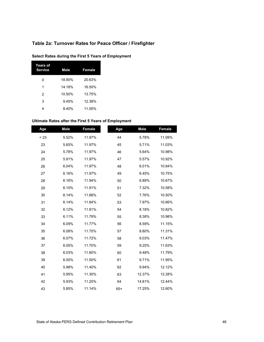## **Table 2a: Turnover Rates for Peace Officer / Firefighter**

| <b>Years of</b><br><b>Service</b> | Male   | Female |
|-----------------------------------|--------|--------|
| O                                 | 18.90% | 20.63% |
| 1                                 | 14.18% | 16.50% |
| 2                                 | 10.50% | 13.75% |
| 3                                 | 9.45%  | 12.38% |
|                                   | 8.40%  | 11.00% |

#### **Select Rates during the First 5 Years of Employment**

#### **Ultimate Rates after the First 5 Years of Employment**

| Age  | <b>Male</b> | Female | Age   | <b>Male</b> | Female |
|------|-------------|--------|-------|-------------|--------|
| < 23 | 5.52%       | 11.97% | 44    | 5.78%       | 11.09% |
| 23   | 5.65%       | 11.97% | 45    | 5.71%       | 11.03% |
| 24   | 5.78%       | 11.97% | 46    | 5.64%       | 10.98% |
| 25   | 5.91%       | 11.97% | 47    | 5.57%       | 10.92% |
| 26   | 6.04%       | 11.97% | 48    | 6.01%       | 10.84% |
| 27   | 6.16%       | 11.97% | 49    | 6.45%       | 10.75% |
| 28   | 6.16%       | 11.94% | 50    | 6.89%       | 10.67% |
| 29   | 6.15%       | 11.91% | 51    | 7.32%       | 10.58% |
| 30   | 6.14%       | 11.88% | 52    | 7.76%       | 10.50% |
| 31   | 6.14%       | 11.84% | 53    | 7.97%       | 10.66% |
| 32   | 6.12%       | 11.81% | 54    | 8.18%       | 10.82% |
| 33   | 6.11%       | 11.79% | 55    | 8.38%       | 10.98% |
| 34   | 6.09%       | 11.77% | 56    | 8.59%       | 11.15% |
| 35   | 6.08%       | 11.75% | 57    | 8.80%       | 11.31% |
| 36   | 6.07%       | 11.72% | 58    | 9.03%       | 11.47% |
| 37   | 6.05%       | 11.70% | 59    | 9.25%       | 11.63% |
| 38   | 6.03%       | 11.60% | 60    | 9.48%       | 11.79% |
| 39   | 6.00%       | 11.50% | 61    | 9.71%       | 11.95% |
| 40   | 5.98%       | 11.40% | 62    | 9.94%       | 12.12% |
| 41   | 5.95%       | 11.30% | 63    | 12.37%      | 12.28% |
| 42   | 5.93%       | 11.20% | 64    | 14.81%      | 12.44% |
| 43   | 5.85%       | 11.14% | $65+$ | 17.25%      | 12.60% |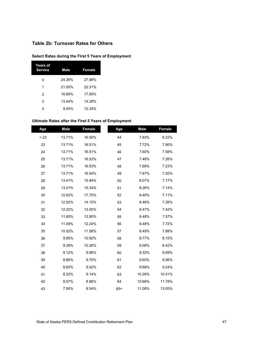## **Table 2b: Turnover Rates for Others**

## **Select Rates during the First 5 Years of Employment**

| <b>Years of</b><br><b>Service</b> | Male   | Female |
|-----------------------------------|--------|--------|
| Ω                                 | 24.36% | 27.98% |
| 1                                 | 21.00% | 22.31% |
| 2                                 | 16.80% | 17.85% |
| 3                                 | 13.44% | 14.28% |
| 4                                 | 9.45%  | 12.34% |

#### **Ultimate Rates after the First 5 Years of Employment**

| Age  | <b>Male</b> | Female | Age   | <b>Male</b> | Female |
|------|-------------|--------|-------|-------------|--------|
| < 23 | 13.71%      | 16.50% | 44    | 7.83%       | 8.22%  |
| 23   | 13.71%      | 16.51% | 45    | 7.72%       | 7.90%  |
| 24   | 13.71%      | 16.51% | 46    | 7.60%       | 7.58%  |
| 25   | 13.71%      | 16.52% | 47    | 7.48%       | 7.26%  |
| 26   | 13.71%      | 16.53% | 48    | 7.68%       | 7.23%  |
| 27   | 13.71%      | 16.54% | 49    | 7.87%       | 7.20%  |
| 28   | 13.41%      | 15.94% | 50    | 8.07%       | 7.17%  |
| 29   | 13.21%      | 15.34% | 51    | 8.26%       | 7.14%  |
| 30   | 12.82%      | 17.75% | 52    | 8.46%       | 7.11%  |
| 31   | 12.52%      | 14.15% | 53    | 8.46%       | 7.26%  |
| 32   | 12.22%      | 13.55% | 54    | 8.47%       | 7.42%  |
| 33   | 11.65%      | 12.90% | 55    | 8.48%       | 7.57%  |
| 34   | 11.09%      | 12.24% | 56    | 8.48%       | 7.72%  |
| 35   | 10.52%      | 11.58% | 57    | 8.49%       | 7.88%  |
| 36   | 9.95%       | 10.92% | 58    | 8.77%       | 8.15%  |
| 37   | 9.39%       | 10.26% | 59    | 9.08%       | 8.42%  |
| 38   | 9.12%       | 9.98%  | 60    | 9.32%       | 8.69%  |
| 39   | 8.86%       | 9.70%  | 61    | 9.60%       | 8.96%  |
| 40   | 8.60%       | 9.42%  | 62    | 9.88%       | 9.24%  |
| 41   | 8.32%       | 9.14%  | 63    | 10.28%      | 10.51% |
| 42   | 8.07%       | 8.86%  | 64    | 10.68%      | 11.78% |
| 43   | 7.95%       | 8.54%  | $65+$ | 11.08%      | 13.05% |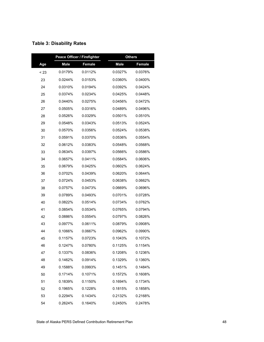|      | Peace Officer / Firefighter |         |             | <b>Others</b> |
|------|-----------------------------|---------|-------------|---------------|
| Age  | <b>Male</b>                 | Female  | <b>Male</b> | Female        |
| < 23 | 0.0179%                     | 0.0112% | 0.0327%     | 0.0376%       |
| 23   | 0.0244%                     | 0.0153% | 0.0360%     | 0.0400%       |
| 24   | 0.0310%                     | 0.0194% | 0.0392%     | 0.0424%       |
| 25   | 0.0374%                     | 0.0234% | 0.0425%     | 0.0448%       |
| 26   | 0.0440%                     | 0.0275% | 0.0456%     | 0.0472%       |
| 27   | 0.0505%                     | 0.0316% | 0.0489%     | 0.0496%       |
| 28   | 0.0526%                     | 0.0329% | 0.0501%     | 0.0510%       |
| 29   | 0.0548%                     | 0.0343% | 0.0513%     | 0.0524%       |
| 30   | 0.0570%                     | 0.0356% | 0.0524%     | 0.0538%       |
| 31   | 0.0591%                     | 0.0370% | 0.0536%     | 0.0554%       |
| 32   | 0.0612%                     | 0.0383% | 0.0548%     | 0.0568%       |
| 33   | 0.0634%                     | 0.0397% | 0.0566%     | 0.0586%       |
| 34   | 0.0657%                     | 0.0411% | 0.0584%     | 0.0606%       |
| 35   | 0.0679%                     | 0.0425% | 0.0602%     | 0.0624%       |
| 36   | 0.0702%                     | 0.0439% | 0.0620%     | 0.0644%       |
| 37   | 0.0724%                     | 0.0453% | 0.0638%     | 0.0662%       |
| 38   | 0.0757%                     | 0.0473% | 0.0669%     | 0.0696%       |
| 39   | 0.0789%                     | 0.0493% | 0.0701%     | 0.0728%       |
| 40   | 0.0822%                     | 0.0514% | 0.0734%     | 0.0762%       |
| 41   | 0.0854%                     | 0.0534% | 0.0765%     | 0.0794%       |
| 42   | 0.0886%                     | 0.0554% | 0.0797%     | 0.0826%       |
| 43   | 0.0977%                     | 0.0611% | 0.0879%     | 0.0908%       |
| 44   | 0.1066%                     | 0.0667% | 0.0962%     | 0.0990%       |
| 45   | 0.1157%                     | 0.0723% | 0.1043%     | 0.1072%       |
| 46   | 0.1247%                     | 0.0780% | 0.1125%     | 0.1154%       |
| 47   | 0.1337%                     | 0.0836% | 0.1208%     | 0.1236%       |
| 48   | 0.1462%                     | 0.0914% | 0.1329%     | 0.1360%       |
| 49   | 0.1588%                     | 0.0993% | 0.1451%     | 0.1484%       |
| 50   | 0.1714%                     | 0.1071% | 0.1572%     | 0.1608%       |
| 51   | 0.1839%                     | 0.1150% | 0.1694%     | 0.1734%       |
| 52   | 0.1965%                     | 0.1228% | 0.1815%     | 0.1858%       |
| 53   | 0.2294%                     | 0.1434% | 0.2132%     | 0.2168%       |
| 54   | 0.2624%                     | 0.1640% | 0.2450%     | 0.2478%       |

## **Table 3: Disability Rates**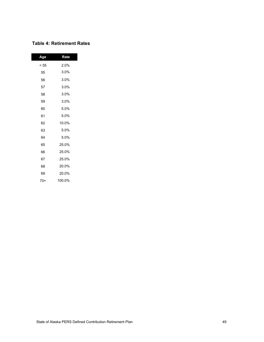## **Table 4: Retirement Rates**

| Age  | Rate   |
|------|--------|
| < 55 | 2.0%   |
| 55   | 3.0%   |
| 56   | 3.0%   |
| 57   | 3.0%   |
| 58   | 3.0%   |
| 59   | 3.0%   |
| 60   | 5.0%   |
| 61   | 5.0%   |
| 62   | 10.0%  |
| 63   | 5.0%   |
| 64   | 5.0%   |
| 65   | 25.0%  |
| 66   | 25.0%  |
| 67   | 25.0%  |
| 68   | 20.0%  |
| 69   | 20.0%  |
| 70+  | 100.0% |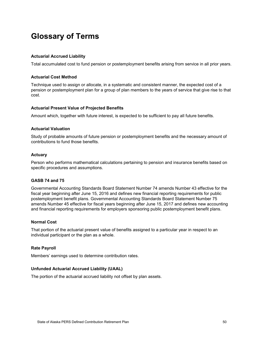# **Glossary of Terms**

#### **Actuarial Accrued Liability**

Total accumulated cost to fund pension or postemployment benefits arising from service in all prior years.

#### **Actuarial Cost Method**

Technique used to assign or allocate, in a systematic and consistent manner, the expected cost of a pension or postemployment plan for a group of plan members to the years of service that give rise to that cost.

#### **Actuarial Present Value of Projected Benefits**

Amount which, together with future interest, is expected to be sufficient to pay all future benefits.

#### **Actuarial Valuation**

Study of probable amounts of future pension or postemployment benefits and the necessary amount of contributions to fund those benefits.

#### **Actuary**

Person who performs mathematical calculations pertaining to pension and insurance benefits based on specific procedures and assumptions.

#### **GASB 74 and 75**

Governmental Accounting Standards Board Statement Number 74 amends Number 43 effective for the fiscal year beginning after June 15, 2016 and defines new financial reporting requirements for public postemployment benefit plans. Governmental Accounting Standards Board Statement Number 75 amends Number 45 effective for fiscal years beginning after June 15, 2017 and defines new accounting and financial reporting requirements for employers sponsoring public postemployment benefit plans.

#### **Normal Cost**

That portion of the actuarial present value of benefits assigned to a particular year in respect to an individual participant or the plan as a whole.

#### **Rate Payroll**

Members' earnings used to determine contribution rates.

#### **Unfunded Actuarial Accrued Liability (UAAL)**

The portion of the actuarial accrued liability not offset by plan assets.